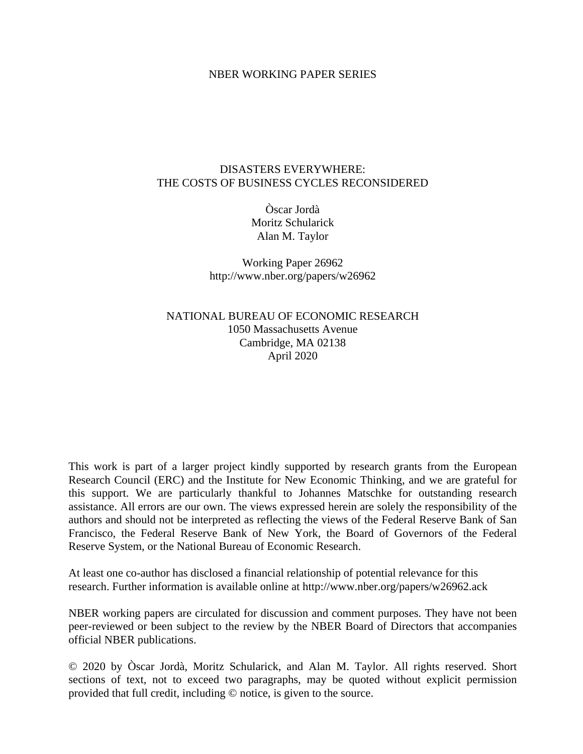#### NBER WORKING PAPER SERIES

#### DISASTERS EVERYWHERE: THE COSTS OF BUSINESS CYCLES RECONSIDERED

Òscar Jordà Moritz Schularick Alan M. Taylor

Working Paper 26962 http://www.nber.org/papers/w26962

NATIONAL BUREAU OF ECONOMIC RESEARCH 1050 Massachusetts Avenue Cambridge, MA 02138 April 2020

This work is part of a larger project kindly supported by research grants from the European Research Council (ERC) and the Institute for New Economic Thinking, and we are grateful for this support. We are particularly thankful to Johannes Matschke for outstanding research assistance. All errors are our own. The views expressed herein are solely the responsibility of the authors and should not be interpreted as reflecting the views of the Federal Reserve Bank of San Francisco, the Federal Reserve Bank of New York, the Board of Governors of the Federal Reserve System, or the National Bureau of Economic Research.

At least one co-author has disclosed a financial relationship of potential relevance for this research. Further information is available online at http://www.nber.org/papers/w26962.ack

NBER working papers are circulated for discussion and comment purposes. They have not been peer-reviewed or been subject to the review by the NBER Board of Directors that accompanies official NBER publications.

© 2020 by Òscar Jordà, Moritz Schularick, and Alan M. Taylor. All rights reserved. Short sections of text, not to exceed two paragraphs, may be quoted without explicit permission provided that full credit, including © notice, is given to the source.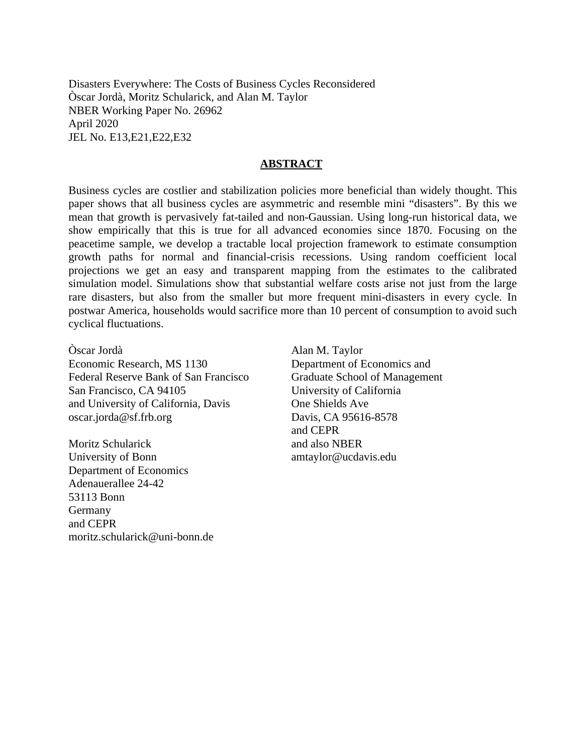Disasters Everywhere: The Costs of Business Cycles Reconsidered Òscar Jordà, Moritz Schularick, and Alan M. Taylor NBER Working Paper No. 26962 April 2020 JEL No. E13,E21,E22,E32

#### **ABSTRACT**

Business cycles are costlier and stabilization policies more beneficial than widely thought. This paper shows that all business cycles are asymmetric and resemble mini "disasters". By this we mean that growth is pervasively fat-tailed and non-Gaussian. Using long-run historical data, we show empirically that this is true for all advanced economies since 1870. Focusing on the peacetime sample, we develop a tractable local projection framework to estimate consumption growth paths for normal and financial-crisis recessions. Using random coefficient local projections we get an easy and transparent mapping from the estimates to the calibrated simulation model. Simulations show that substantial welfare costs arise not just from the large rare disasters, but also from the smaller but more frequent mini-disasters in every cycle. In postwar America, households would sacrifice more than 10 percent of consumption to avoid such cyclical fluctuations.

Òscar Jordà Economic Research, MS 1130 Federal Reserve Bank of San Francisco San Francisco, CA 94105 and University of California, Davis oscar.jorda@sf.frb.org

Moritz Schularick University of Bonn Department of Economics Adenauerallee 24-42 53113 Bonn Germany and CEPR moritz.schularick@uni-bonn.de Alan M. Taylor Department of Economics and Graduate School of Management University of California One Shields Ave Davis, CA 95616-8578 and CEPR and also NBER amtaylor@ucdavis.edu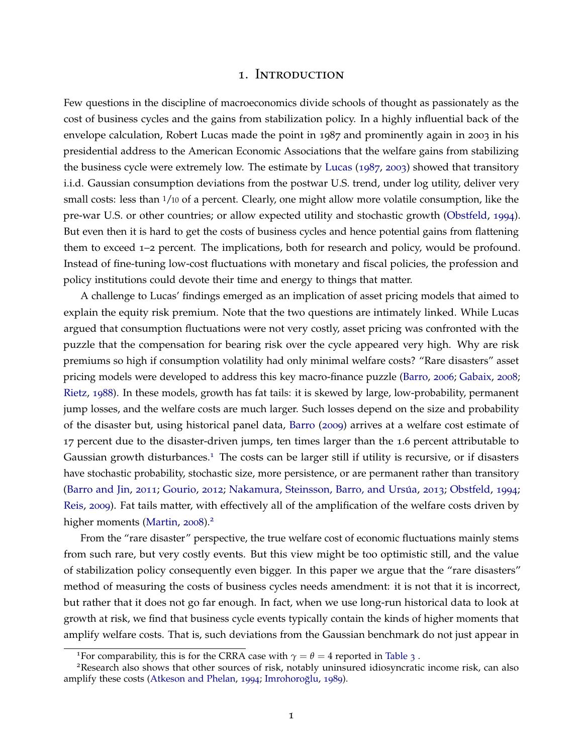#### 1. Introduction

Few questions in the discipline of macroeconomics divide schools of thought as passionately as the cost of business cycles and the gains from stabilization policy. In a highly influential back of the envelope calculation, Robert Lucas made the point in 1987 and prominently again in 2003 in his presidential address to the American Economic Associations that the welfare gains from stabilizing the business cycle were extremely low. The estimate by [Lucas](#page-30-0) ([1987](#page-30-0), [2003](#page-30-1)) showed that transitory i.i.d. Gaussian consumption deviations from the postwar U.S. trend, under log utility, deliver very small costs: less than 1/10 of a percent. Clearly, one might allow more volatile consumption, like the pre-war U.S. or other countries; or allow expected utility and stochastic growth [\(Obstfeld,](#page-30-2) [1994](#page-30-2)). But even then it is hard to get the costs of business cycles and hence potential gains from flattening them to exceed 1–2 percent. The implications, both for research and policy, would be profound. Instead of fine-tuning low-cost fluctuations with monetary and fiscal policies, the profession and policy institutions could devote their time and energy to things that matter.

A challenge to Lucas' findings emerged as an implication of asset pricing models that aimed to explain the equity risk premium. Note that the two questions are intimately linked. While Lucas argued that consumption fluctuations were not very costly, asset pricing was confronted with the puzzle that the compensation for bearing risk over the cycle appeared very high. Why are risk premiums so high if consumption volatility had only minimal welfare costs? "Rare disasters" asset pricing models were developed to address this key macro-finance puzzle [\(Barro,](#page-28-0) [2006](#page-28-0); [Gabaix,](#page-29-0) [2008](#page-29-0); [Rietz,](#page-30-3) [1988](#page-30-3)). In these models, growth has fat tails: it is skewed by large, low-probability, permanent jump losses, and the welfare costs are much larger. Such losses depend on the size and probability of the disaster but, using historical panel data, [Barro](#page-28-1) ([2009](#page-28-1)) arrives at a welfare cost estimate of 17 percent due to the disaster-driven jumps, ten times larger than the 1.6 percent attributable to Gaussian growth disturbances.<sup>[1](#page-2-0)</sup> The costs can be larger still if utility is recursive, or if disasters have stochastic probability, stochastic size, more persistence, or are permanent rather than transitory [\(Barro and Jin,](#page-28-2) [2011](#page-28-2); [Gourio,](#page-29-1) [2012](#page-29-1); Nakamura, Steinsson, Barro, and Ursúa, [2013](#page-30-4); [Obstfeld,](#page-30-2) [1994](#page-30-2); [Reis,](#page-30-5) [2009](#page-30-5)). Fat tails matter, with effectively all of the amplification of the welfare costs driven by higher moments [\(Martin,](#page-30-6) [2008](#page-30-6)).<sup>[2](#page-2-1)</sup>

From the "rare disaster" perspective, the true welfare cost of economic fluctuations mainly stems from such rare, but very costly events. But this view might be too optimistic still, and the value of stabilization policy consequently even bigger. In this paper we argue that the "rare disasters" method of measuring the costs of business cycles needs amendment: it is not that it is incorrect, but rather that it does not go far enough. In fact, when we use long-run historical data to look at growth at risk, we find that business cycle events typically contain the kinds of higher moments that amplify welfare costs. That is, such deviations from the Gaussian benchmark do not just appear in

<span id="page-2-1"></span><span id="page-2-0"></span><sup>&</sup>lt;sup>1</sup>For comparability, this is for the CRRA case with  $\gamma = \theta = 4$  reported in [Table](#page-12-0) 3.

<sup>2</sup>Research also shows that other sources of risk, notably uninsured idiosyncratic income risk, can also amplify these costs [\(Atkeson and Phelan,](#page-28-3) [1994](#page-28-3); Imrohoroğlu, [1989](#page-29-2)).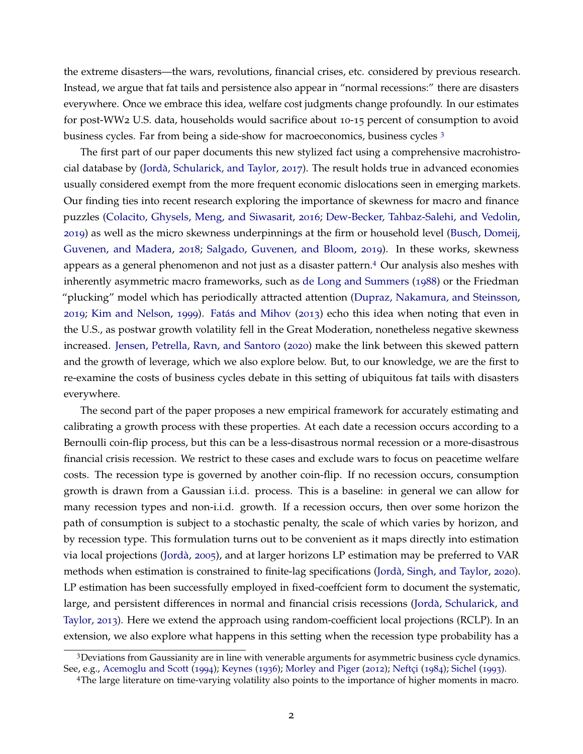the extreme disasters—the wars, revolutions, financial crises, etc. considered by previous research. Instead, we argue that fat tails and persistence also appear in "normal recessions:" there are disasters everywhere. Once we embrace this idea, welfare cost judgments change profoundly. In our estimates for post-WW2 U.S. data, households would sacrifice about 10-15 percent of consumption to avoid business cycles. Far from being a side-show for macroeconomics, business cycles [3](#page-3-0)

The first part of our paper documents this new stylized fact using a comprehensive macrohistro-cial database by (Jordà, Schularick, and Taylor, [2017](#page-29-3)). The result holds true in advanced economies usually considered exempt from the more frequent economic dislocations seen in emerging markets. Our finding ties into recent research exploring the importance of skewness for macro and finance puzzles [\(Colacito, Ghysels, Meng, and Siwasarit,](#page-28-4) [2016](#page-28-4); [Dew-Becker, Tahbaz-Salehi, and Vedolin,](#page-29-4) [2019](#page-29-4)) as well as the micro skewness underpinnings at the firm or household level [\(Busch, Domeij,](#page-28-5) [Guvenen, and Madera,](#page-28-5) [2018](#page-28-5); [Salgado, Guvenen, and Bloom,](#page-30-7) [2019](#page-30-7)). In these works, skewness appears as a general phenomenon and not just as a disaster pattern.[4](#page-3-1) Our analysis also meshes with inherently asymmetric macro frameworks, such as [de Long and Summers](#page-29-5) ([1988](#page-29-5)) or the Friedman "plucking" model which has periodically attracted attention [\(Dupraz, Nakamura, and Steinsson,](#page-29-6) [2019](#page-29-6); [Kim and Nelson,](#page-30-8) [1999](#page-30-8)). Fatás and Mihov ([2013](#page-29-7)) echo this idea when noting that even in the U.S., as postwar growth volatility fell in the Great Moderation, nonetheless negative skewness increased. [Jensen, Petrella, Ravn, and Santoro](#page-29-8) ([2020](#page-29-8)) make the link between this skewed pattern and the growth of leverage, which we also explore below. But, to our knowledge, we are the first to re-examine the costs of business cycles debate in this setting of ubiquitous fat tails with disasters everywhere.

The second part of the paper proposes a new empirical framework for accurately estimating and calibrating a growth process with these properties. At each date a recession occurs according to a Bernoulli coin-flip process, but this can be a less-disastrous normal recession or a more-disastrous financial crisis recession. We restrict to these cases and exclude wars to focus on peacetime welfare costs. The recession type is governed by another coin-flip. If no recession occurs, consumption growth is drawn from a Gaussian i.i.d. process. This is a baseline: in general we can allow for many recession types and non-i.i.d. growth. If a recession occurs, then over some horizon the path of consumption is subject to a stochastic penalty, the scale of which varies by horizon, and by recession type. This formulation turns out to be convenient as it maps directly into estimation via local projections (Jordà, [2005](#page-29-9)), and at larger horizons LP estimation may be preferred to VAR methods when estimation is constrained to finite-lag specifications (Jordà, Singh, and Taylor, [2020](#page-29-10)). LP estimation has been successfully employed in fixed-coeffcient form to document the systematic, large, and persistent differences in normal and financial crisis recessions [\(Jorda, Schularick, and](#page-29-11) ` [Taylor,](#page-29-11) [2013](#page-29-11)). Here we extend the approach using random-coefficient local projections (RCLP). In an extension, we also explore what happens in this setting when the recession type probability has a

<span id="page-3-0"></span><sup>3</sup>Deviations from Gaussianity are in line with venerable arguments for asymmetric business cycle dynamics. See, e.g., [Acemoglu and Scott](#page-28-6) ([1994](#page-28-6)); [Keynes](#page-29-12) ([1936](#page-29-12)); [Morley and Piger](#page-30-9) ([2012](#page-30-9)); Neftçi ([1984](#page-30-10)); [Sichel](#page-30-11) ([1993](#page-30-11)).

<span id="page-3-1"></span><sup>4</sup>The large literature on time-varying volatility also points to the importance of higher moments in macro.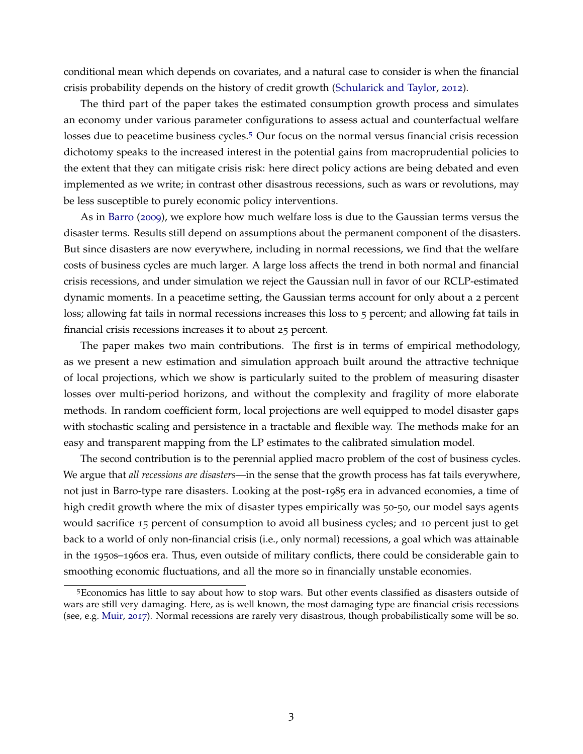conditional mean which depends on covariates, and a natural case to consider is when the financial crisis probability depends on the history of credit growth [\(Schularick and Taylor,](#page-30-12) [2012](#page-30-12)).

The third part of the paper takes the estimated consumption growth process and simulates an economy under various parameter configurations to assess actual and counterfactual welfare losses due to peacetime business cycles.[5](#page-4-0) Our focus on the normal versus financial crisis recession dichotomy speaks to the increased interest in the potential gains from macroprudential policies to the extent that they can mitigate crisis risk: here direct policy actions are being debated and even implemented as we write; in contrast other disastrous recessions, such as wars or revolutions, may be less susceptible to purely economic policy interventions.

As in [Barro](#page-28-1) ([2009](#page-28-1)), we explore how much welfare loss is due to the Gaussian terms versus the disaster terms. Results still depend on assumptions about the permanent component of the disasters. But since disasters are now everywhere, including in normal recessions, we find that the welfare costs of business cycles are much larger. A large loss affects the trend in both normal and financial crisis recessions, and under simulation we reject the Gaussian null in favor of our RCLP-estimated dynamic moments. In a peacetime setting, the Gaussian terms account for only about a 2 percent loss; allowing fat tails in normal recessions increases this loss to 5 percent; and allowing fat tails in financial crisis recessions increases it to about 25 percent.

The paper makes two main contributions. The first is in terms of empirical methodology, as we present a new estimation and simulation approach built around the attractive technique of local projections, which we show is particularly suited to the problem of measuring disaster losses over multi-period horizons, and without the complexity and fragility of more elaborate methods. In random coefficient form, local projections are well equipped to model disaster gaps with stochastic scaling and persistence in a tractable and flexible way. The methods make for an easy and transparent mapping from the LP estimates to the calibrated simulation model.

The second contribution is to the perennial applied macro problem of the cost of business cycles. We argue that *all recessions are disasters*—in the sense that the growth process has fat tails everywhere, not just in Barro-type rare disasters. Looking at the post-1985 era in advanced economies, a time of high credit growth where the mix of disaster types empirically was 50-50, our model says agents would sacrifice 15 percent of consumption to avoid all business cycles; and 10 percent just to get back to a world of only non-financial crisis (i.e., only normal) recessions, a goal which was attainable in the 1950s–1960s era. Thus, even outside of military conflicts, there could be considerable gain to smoothing economic fluctuations, and all the more so in financially unstable economies.

<span id="page-4-1"></span><span id="page-4-0"></span><sup>5</sup>Economics has little to say about how to stop wars. But other events classified as disasters outside of wars are still very damaging. Here, as is well known, the most damaging type are financial crisis recessions (see, e.g. [Muir,](#page-30-13) [2017](#page-30-13)). Normal recessions are rarely very disastrous, though probabilistically some will be so.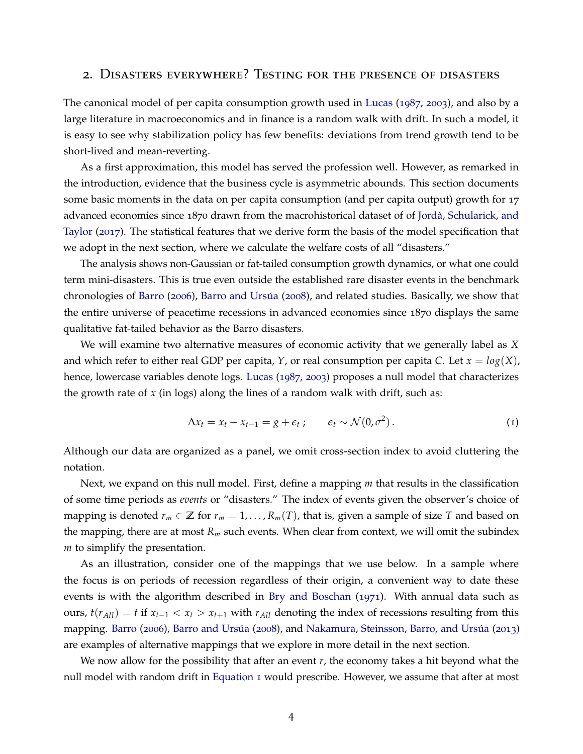## 2. Disasters everywhere? Testing for the presence of disasters

The canonical model of per capita consumption growth used in [Lucas](#page-30-0) ([1987](#page-30-0), [2003](#page-30-1)), and also by a large literature in macroeconomics and in finance is a random walk with drift. In such a model, it is easy to see why stabilization policy has few benefits: deviations from trend growth tend to be short-lived and mean-reverting.

As a first approximation, this model has served the profession well. However, as remarked in the introduction, evidence that the business cycle is asymmetric abounds. This section documents some basic moments in the data on per capita consumption (and per capita output) growth for 17 advanced economies since 1870 drawn from the macrohistorical dataset of of [Jorda, Schularick, and](#page-29-3) ` [Taylor](#page-29-3) ([2017](#page-29-3)). The statistical features that we derive form the basis of the model specification that we adopt in the next section, where we calculate the welfare costs of all "disasters."

The analysis shows non-Gaussian or fat-tailed consumption growth dynamics, or what one could term mini-disasters. This is true even outside the established rare disaster events in the benchmark chronologies of [Barro](#page-28-0) ([2006](#page-28-0)), Barro and Ursúa ([2008](#page-28-7)), and related studies. Basically, we show that the entire universe of peacetime recessions in advanced economies since 1870 displays the same qualitative fat-tailed behavior as the Barro disasters.

We will examine two alternative measures of economic activity that we generally label as *X* and which refer to either real GDP per capita, *Y*, or real consumption per capita *C*. Let  $x = log(X)$ , hence, lowercase variables denote logs. [Lucas](#page-30-0) ([1987](#page-30-0), [2003](#page-30-1)) proposes a null model that characterizes the growth rate of *x* (in logs) along the lines of a random walk with drift, such as:

<span id="page-5-0"></span>
$$
\Delta x_t = x_t - x_{t-1} = g + \epsilon_t ; \qquad \epsilon_t \sim \mathcal{N}(0, \sigma^2).
$$
 (1)

Although our data are organized as a panel, we omit cross-section index to avoid cluttering the notation.

Next, we expand on this null model. First, define a mapping *m* that results in the classification of some time periods as *events* or "disasters." The index of events given the observer's choice of mapping is denoted  $r_m \in \mathbb{Z}$  for  $r_m = 1, \ldots, R_m(T)$ , that is, given a sample of size T and based on the mapping, there are at most *R<sup>m</sup>* such events. When clear from context, we will omit the subindex *m* to simplify the presentation.

As an illustration, consider one of the mappings that we use below. In a sample where the focus is on periods of recession regardless of their origin, a convenient way to date these events is with the algorithm described in [Bry and Boschan](#page-28-8) ([1971](#page-28-8)). With annual data such as ours,  $t(r_{All}) = t$  if  $x_{t-1} < x_t > x_{t+1}$  with  $r_{All}$  denoting the index of recessions resulting from this mapping. [Barro](#page-28-0) ([2006](#page-28-0)), Barro and Ursúa ([2008](#page-28-7)), and Nakamura, Steinsson, Barro, and Ursúa ([2013](#page-30-4)) are examples of alternative mappings that we explore in more detail in the next section.

We now allow for the possibility that after an event *r*, the economy takes a hit beyond what the null model with random drift in [Equation](#page-5-0) 1 would prescribe. However, we assume that after at most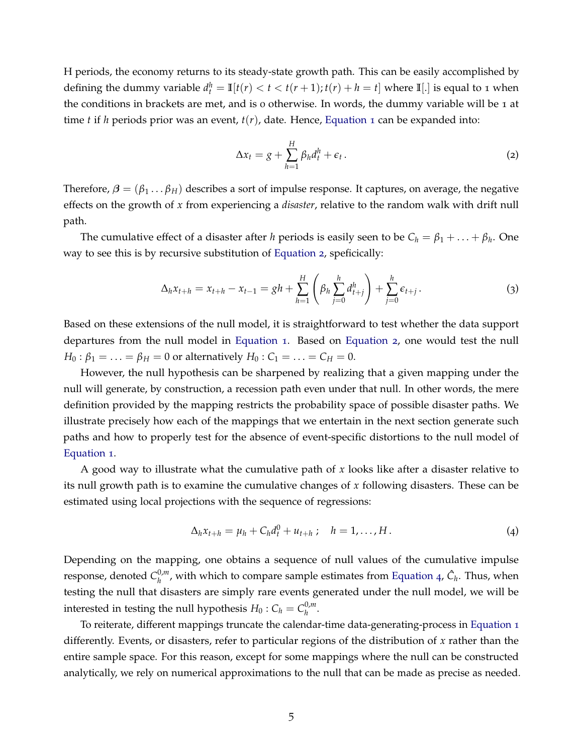H periods, the economy returns to its steady-state growth path. This can be easily accomplished by defining the dummy variable  $d_t^h = \mathbb{I}[t(r) < t < t(r+1); t(r) + h = t]$  where  $\mathbb{I}[.]$  is equal to 1 when the conditions in brackets are met, and is 0 otherwise. In words, the dummy variable will be 1 at time *t* if *h* periods prior was an event, *t*(*r*), date. Hence, [Equation](#page-5-0) 1 can be expanded into:

<span id="page-6-0"></span>
$$
\Delta x_t = g + \sum_{h=1}^H \beta_h d_t^h + \epsilon_t \,. \tag{2}
$$

Therefore,  $\beta = (\beta_1 \dots \beta_H)$  describes a sort of impulse response. It captures, on average, the negative effects on the growth of *x* from experiencing a *disaster*, relative to the random walk with drift null path.

The cumulative effect of a disaster after *h* periods is easily seen to be  $C_h = \beta_1 + \ldots + \beta_h$ . One way to see this is by recursive substitution of [Equation](#page-6-0) 2, speficically:

$$
\Delta_h x_{t+h} = x_{t+h} - x_{t-1} = gh + \sum_{h=1}^H \left( \beta_h \sum_{j=0}^h d_{t+j}^h \right) + \sum_{j=0}^h \epsilon_{t+j}.
$$
 (3)

Based on these extensions of the null model, it is straightforward to test whether the data support departures from the null model in [Equation](#page-5-0) 1. Based on [Equation](#page-6-0) 2, one would test the null *H*<sup>0</sup> :  $\beta_1 = \ldots = \beta_H = 0$  or alternatively *H*<sup>0</sup> :  $C_1 = \ldots = C_H = 0$ .

However, the null hypothesis can be sharpened by realizing that a given mapping under the null will generate, by construction, a recession path even under that null. In other words, the mere definition provided by the mapping restricts the probability space of possible disaster paths. We illustrate precisely how each of the mappings that we entertain in the next section generate such paths and how to properly test for the absence of event-specific distortions to the null model of [Equation](#page-5-0) 1.

A good way to illustrate what the cumulative path of *x* looks like after a disaster relative to its null growth path is to examine the cumulative changes of *x* following disasters. These can be estimated using local projections with the sequence of regressions:

<span id="page-6-1"></span>
$$
\Delta_h x_{t+h} = \mu_h + C_h d_t^0 + u_{t+h} \; ; \quad h = 1, \dots, H \, . \tag{4}
$$

Depending on the mapping, one obtains a sequence of null values of the cumulative impulse response*,* denoted  $C_h^{0,m}$  $h_h^{0,m}$ , with which to compare sample estimates from [Equation](#page-6-1) 4,  $\hat{C}_h$ . Thus, when testing the null that disasters are simply rare events generated under the null model, we will be interested in testing the null hypothesis  $H_0$  :  $C_h = C_h^{0,m}$ *h* .

To reiterate, different mappings truncate the calendar-time data-generating-process in [Equation](#page-5-0) 1 differently. Events, or disasters, refer to particular regions of the distribution of *x* rather than the entire sample space. For this reason, except for some mappings where the null can be constructed analytically, we rely on numerical approximations to the null that can be made as precise as needed.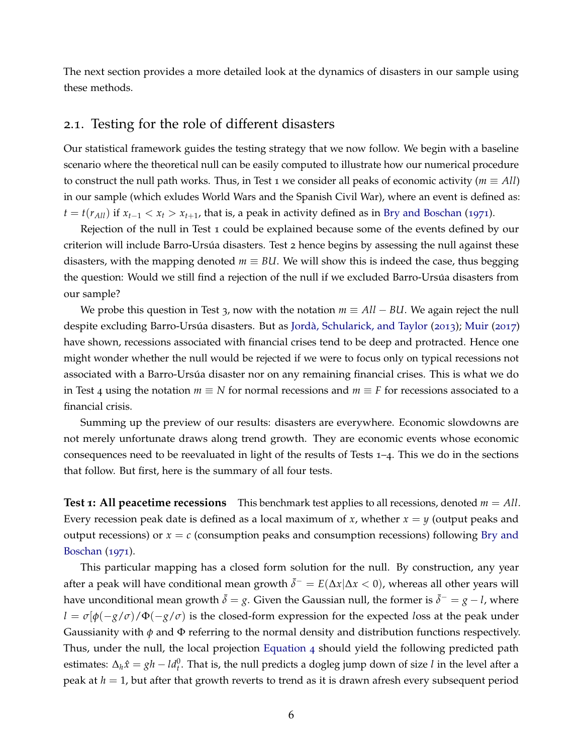The next section provides a more detailed look at the dynamics of disasters in our sample using these methods.

# 2.1. Testing for the role of different disasters

Our statistical framework guides the testing strategy that we now follow. We begin with a baseline scenario where the theoretical null can be easily computed to illustrate how our numerical procedure to construct the null path works. Thus, in Test 1 we consider all peaks of economic activity ( $m \equiv All$ ) in our sample (which exludes World Wars and the Spanish Civil War), where an event is defined as:  $t = t(r_{All})$  if  $x_{t-1} < x_t > x_{t+1}$ , that is, a peak in activity defined as in [Bry and Boschan](#page-28-8) ([1971](#page-28-8)).

Rejection of the null in Test 1 could be explained because some of the events defined by our criterion will include Barro-Ursúa disasters. Test 2 hence begins by assessing the null against these disasters, with the mapping denoted  $m \equiv \text{BU}$ . We will show this is indeed the case, thus begging the question: Would we still find a rejection of the null if we excluded Barro-Ursúa disasters from our sample?

We probe this question in Test 3, now with the notation  $m \equiv All - BL$ . We again reject the null despite excluding Barro-Ursúa disasters. But as Jordà, Schularick, and Taylor ([2013](#page-29-11)); [Muir](#page-30-13) ([2017](#page-30-13)) have shown, recessions associated with financial crises tend to be deep and protracted. Hence one might wonder whether the null would be rejected if we were to focus only on typical recessions not associated with a Barro-Ursúa disaster nor on any remaining financial crises. This is what we do in Test 4 using the notation *m* ≡ *N* for normal recessions and *m* ≡ *F* for recessions associated to a financial crisis.

Summing up the preview of our results: disasters are everywhere. Economic slowdowns are not merely unfortunate draws along trend growth. They are economic events whose economic consequences need to be reevaluated in light of the results of Tests 1–4. This we do in the sections that follow. But first, here is the summary of all four tests.

**Test 1: All peacetime recessions** This benchmark test applies to all recessions, denoted  $m = All$ . Every recession peak date is defined as a local maximum of *x*, whether *x* = *y* (output peaks and output recessions) or  $x = c$  (consumption peaks and consumption recessions) following [Bry and](#page-28-8) [Boschan](#page-28-8) ([1971](#page-28-8)).

This particular mapping has a closed form solution for the null. By construction, any year after a peak will have conditional mean growth  $\bar{\delta}^{-} = E(\Delta x | \Delta x < 0)$ , whereas all other years will have unconditional mean growth  $\bar{\delta} = g$ . Given the Gaussian null, the former is  $\bar{\delta}^- = g - l$ , where  $l = \sigma[\phi(-g/\sigma)/\Phi(-g/\sigma)]$  is the closed-form expression for the expected *loss* at the peak under Gaussianity with *φ* and Φ referring to the normal density and distribution functions respectively. Thus, under the null, the local projection [Equation](#page-6-1) 4 should yield the following predicted path estimates:  $\Delta_h \hat{x} = gh - ld_t^0$ . That is, the null predicts a dogleg jump down of size *l* in the level after a peak at *h* = 1, but after that growth reverts to trend as it is drawn afresh every subsequent period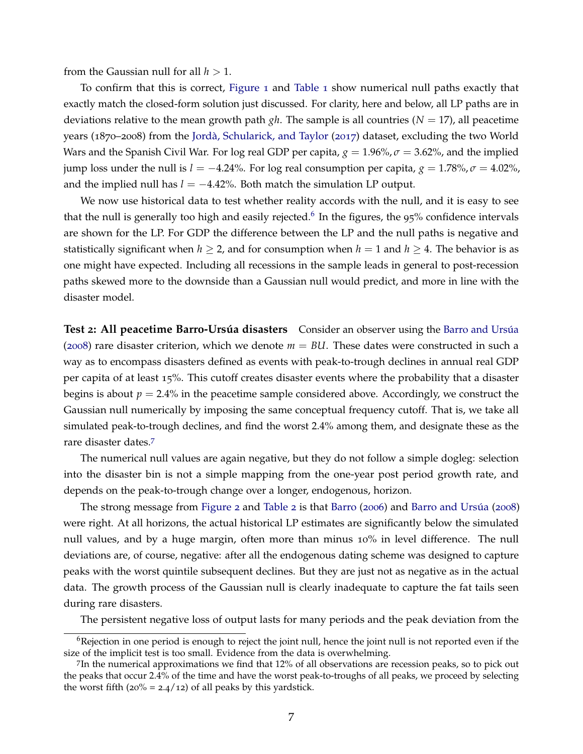from the Gaussian null for all  $h > 1$ .

To confirm that this is correct, [Figure](#page-9-0) 1 and [Table](#page-9-1) 1 show numerical null paths exactly that exactly match the closed-form solution just discussed. For clarity, here and below, all LP paths are in deviations relative to the mean growth path *gh*. The sample is all countries (*N* = 17), all peacetime years (1870–2008) from the Jordà, Schularick, and Taylor ([2017](#page-29-3)) dataset, excluding the two World Wars and the Spanish Civil War. For log real GDP per capita,  $g = 1.96\%$ ,  $\sigma = 3.62\%$ , and the implied jump loss under the null is *l* = −4.24%. For log real consumption per capita,  $g = 1.78\%$ ,  $\sigma = 4.02\%$ , and the implied null has  $l = -4.42\%$ . Both match the simulation LP output.

We now use historical data to test whether reality accords with the null, and it is easy to see that the null is generally too high and easily rejected.<sup>[6](#page-8-0)</sup> In the figures, the 95% confidence intervals are shown for the LP. For GDP the difference between the LP and the null paths is negative and statistically significant when  $h \geq 2$ , and for consumption when  $h = 1$  and  $h \geq 4$ . The behavior is as one might have expected. Including all recessions in the sample leads in general to post-recession paths skewed more to the downside than a Gaussian null would predict, and more in line with the disaster model.

**Test 2: All peacetime Barro-Ursúa disasters** Consider an observer using the Barro and Ursúa ([2008](#page-28-7)) rare disaster criterion, which we denote  $m = BUI$ . These dates were constructed in such a way as to encompass disasters defined as events with peak-to-trough declines in annual real GDP per capita of at least 15%. This cutoff creates disaster events where the probability that a disaster begins is about  $p = 2.4\%$  in the peacetime sample considered above. Accordingly, we construct the Gaussian null numerically by imposing the same conceptual frequency cutoff. That is, we take all simulated peak-to-trough declines, and find the worst 2.4% among them, and designate these as the rare disaster dates.[7](#page-8-1)

The numerical null values are again negative, but they do not follow a simple dogleg: selection into the disaster bin is not a simple mapping from the one-year post period growth rate, and depends on the peak-to-trough change over a longer, endogenous, horizon.

The strong message from [Figure](#page-11-0) 2 and [Table](#page-11-1) 2 is that [Barro](#page-28-0) ([2006](#page-28-0)) and Barro and Ursúa ([2008](#page-28-7)) were right. At all horizons, the actual historical LP estimates are significantly below the simulated null values, and by a huge margin, often more than minus 10% in level difference. The null deviations are, of course, negative: after all the endogenous dating scheme was designed to capture peaks with the worst quintile subsequent declines. But they are just not as negative as in the actual data. The growth process of the Gaussian null is clearly inadequate to capture the fat tails seen during rare disasters.

<span id="page-8-0"></span>The persistent negative loss of output lasts for many periods and the peak deviation from the

 $6R$ ejection in one period is enough to reject the joint null, hence the joint null is not reported even if the size of the implicit test is too small. Evidence from the data is overwhelming.

<span id="page-8-1"></span><sup>7</sup> In the numerical approximations we find that 12% of all observations are recession peaks, so to pick out the peaks that occur 2.4% of the time and have the worst peak-to-troughs of all peaks, we proceed by selecting the worst fifth  $(20\% = 2.4/12)$  of all peaks by this yardstick.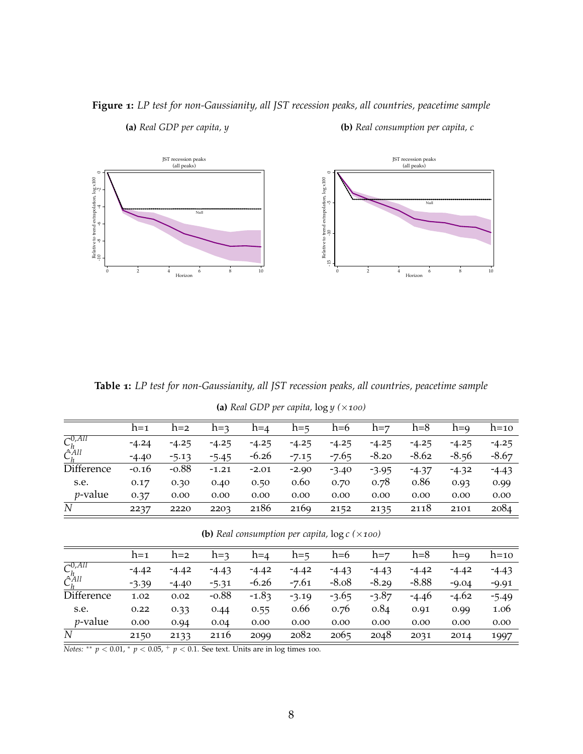

## <span id="page-9-0"></span>**Figure 1:** *LP test for non-Gaussianity, all JST recession peaks, all countries, peacetime sample*

**(a)** *Real GDP per capita, y*

**(b)** *Real consumption per capita, c*

<span id="page-9-1"></span>**Table 1:** *LP test for non-Gaussianity, all JST recession peaks, all countries, peacetime sample*

**(a)** *Real GDP per capita,* log *y (*×*100)*

|                                               | $h=1$   | $h=2$   | $h=3$   | $h=4$   | $h = 5$ | $h=6$   | $h = 7$ | $h=8$   | $h=9$   | $h=10$  |
|-----------------------------------------------|---------|---------|---------|---------|---------|---------|---------|---------|---------|---------|
| $\overline{C_h^{0,All}}$<br>$\hat{C}_h^{All}$ | $-4.24$ | $-4.25$ | $-4.25$ | $-4.25$ | $-4.25$ | $-4.25$ | $-4.25$ | $-4.25$ | $-4.25$ | $-4.25$ |
|                                               | $-4.40$ | $-5.13$ | $-5.45$ | $-6.26$ | $-7.15$ | $-7.65$ | $-8.20$ | $-8.62$ | $-8.56$ | $-8.67$ |
| Difference                                    | $-0.16$ | $-0.88$ | $-1.21$ | $-2.01$ | $-2.90$ | $-3.40$ | $-3.95$ | $-4.37$ | $-4.32$ | $-4.43$ |
| s.e.                                          | 0.17    | 0.30    | 0.40    | 0.50    | 0.60    | 0.70    | 0.78    | 0.86    | 0.93    | 0.99    |
| $p$ -value                                    | 0.37    | 0.00    | 0.00    | 0.00    | 0.00    | 0.00    | 0.00    | 0.00    | 0.00    | 0.00    |
| N                                             | 2237    | 2220    | 2203    | 2186    | 2169    | 2152    | 2135    | 2118    | 2101    | 2084    |

**<sup>(</sup>b)** *Real consumption per capita,* log *c (*×*100)*

|                                               | $h=1$   | $h=2$   | $h=3$   | $h=4$   | $h = 5$ | $h=6$   | $h = 7$ | $h=8$   | $h=9$   | $h=10$  |
|-----------------------------------------------|---------|---------|---------|---------|---------|---------|---------|---------|---------|---------|
| $\overline{C_h^{0,All}}$<br>$\hat{C}_h^{All}$ | $-4.42$ | $-4.42$ | $-4.43$ | $-4.42$ | $-4.42$ | $-4.43$ | $-4.43$ | $-4.42$ | $-4.42$ | $-4.43$ |
|                                               | $-3.39$ | $-4.40$ | $-5.31$ | $-6.26$ | $-7.61$ | $-8.08$ | $-8.29$ | $-8.88$ | $-9.04$ | $-9.91$ |
| Difference                                    | 1.02    | 0.02    | $-0.88$ | $-1.83$ | $-3.19$ | $-3.65$ | $-3.87$ | $-4.46$ | $-4.62$ | $-5.49$ |
| s.e.                                          | 0.22    | 0.33    | 0.44    | 0.55    | 0.66    | 0.76    | 0.84    | 0.91    | 0.99    | 1.06    |
| <i>p</i> -value                               | 0.00    | 0.94    | 0.04    | 0.00    | 0.00    | 0.00    | 0.00    | 0.00    | 0.00    | 0.00    |
| N                                             | 2150    | 2133    | 2116    | 2099    | 2082    | 2065    | 2048    | 2031    | 2014    | 1997    |

*Notes:*  $*$  *p* < 0.01,  $*$  *p* < 0.05,  $*$  *p* < 0.1. See text. Units are in log times 100.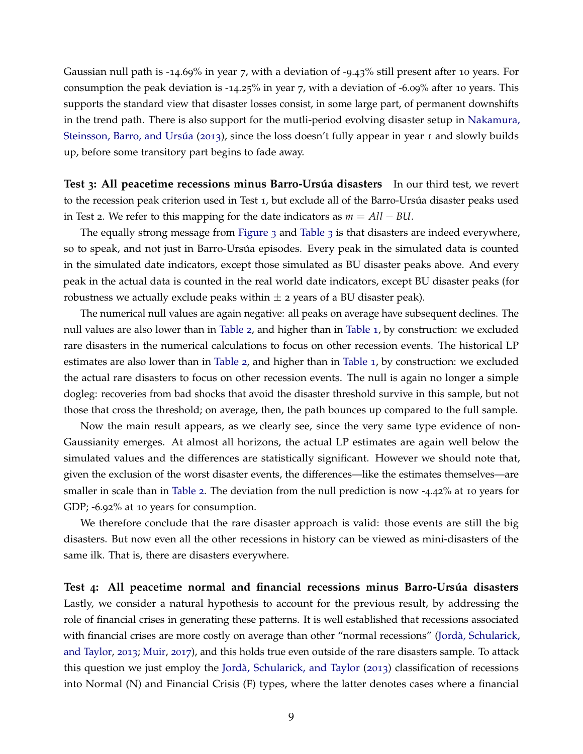Gaussian null path is -14.69% in year 7, with a deviation of -9.43% still present after 10 years. For consumption the peak deviation is -14.25% in year 7, with a deviation of -6.09% after 10 years. This supports the standard view that disaster losses consist, in some large part, of permanent downshifts in the trend path. There is also support for the mutli-period evolving disaster setup in [Nakamura,](#page-30-4) Steinsson, Barro, and Ursúa ([2013](#page-30-4)), since the loss doesn't fully appear in year 1 and slowly builds up, before some transitory part begins to fade away.

**Test 3:** All peacetime recessions minus Barro-Ursúa disasters In our third test, we revert to the recession peak criterion used in Test 1, but exclude all of the Barro-Ursúa disaster peaks used in Test 2. We refer to this mapping for the date indicators as *m* = *All* − *BU*.

The equally strong message from [Figure](#page-12-1) 3 and [Table](#page-12-0) 3 is that disasters are indeed everywhere, so to speak, and not just in Barro-Ursúa episodes. Every peak in the simulated data is counted in the simulated date indicators, except those simulated as BU disaster peaks above. And every peak in the actual data is counted in the real world date indicators, except BU disaster peaks (for robustness we actually exclude peaks within  $\pm$  2 years of a BU disaster peak).

The numerical null values are again negative: all peaks on average have subsequent declines. The null values are also lower than in [Table](#page-11-1) 2, and higher than in [Table](#page-9-1) 1, by construction: we excluded rare disasters in the numerical calculations to focus on other recession events. The historical LP estimates are also lower than in [Table](#page-11-1) 2, and higher than in [Table](#page-9-1) 1, by construction: we excluded the actual rare disasters to focus on other recession events. The null is again no longer a simple dogleg: recoveries from bad shocks that avoid the disaster threshold survive in this sample, but not those that cross the threshold; on average, then, the path bounces up compared to the full sample.

Now the main result appears, as we clearly see, since the very same type evidence of non-Gaussianity emerges. At almost all horizons, the actual LP estimates are again well below the simulated values and the differences are statistically significant. However we should note that, given the exclusion of the worst disaster events, the differences—like the estimates themselves—are smaller in scale than in [Table](#page-11-1) 2. The deviation from the null prediction is now -4.42% at 10 years for GDP; -6.92% at 10 years for consumption.

We therefore conclude that the rare disaster approach is valid: those events are still the big disasters. But now even all the other recessions in history can be viewed as mini-disasters of the same ilk. That is, there are disasters everywhere.

**Test 4:** All peacetime normal and financial recessions minus Barro-Ursúa disasters Lastly, we consider a natural hypothesis to account for the previous result, by addressing the role of financial crises in generating these patterns. It is well established that recessions associated with financial crises are more costly on average than other "normal recessions" (Jordà, Schularick, [and Taylor,](#page-29-11) [2013](#page-29-11); [Muir,](#page-30-13) [2017](#page-30-13)), and this holds true even outside of the rare disasters sample. To attack this question we just employ the Jordà, Schularick, and Taylor  $(2013)$  $(2013)$  $(2013)$  classification of recessions into Normal (N) and Financial Crisis (F) types, where the latter denotes cases where a financial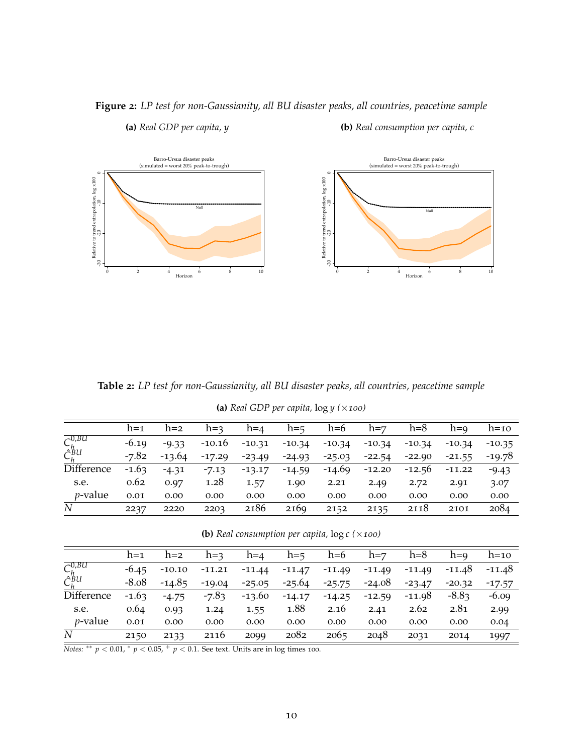

# <span id="page-11-0"></span>**Figure 2:** *LP test for non-Gaussianity, all BU disaster peaks, all countries, peacetime sample*

**(a)** *Real GDP per capita, y*

**(b)** *Real consumption per capita, c*

<span id="page-11-1"></span>**Table 2:** *LP test for non-Gaussianity, all BU disaster peaks, all countries, peacetime sample*

**(a)** *Real GDP per capita,* log *y (*×*100)*

|                                          | $h=1$   | $h=2$    | $h = 3$  | $h = 4$  | $h = 5$  | $h=6$    | $h = 7$  | $h=8$    | $h=0$    | $h=10$   |
|------------------------------------------|---------|----------|----------|----------|----------|----------|----------|----------|----------|----------|
| $\overline{C_h^{0,BU}}$ $\hat{C}_h^{BU}$ | $-6.19$ | $-9.33$  | $-10.16$ | $-10.31$ | $-10.34$ | $-10.34$ | $-10.34$ | $-10.34$ | $-10.34$ | $-10.35$ |
|                                          | $-7.82$ | $-13.64$ | $-17.29$ | $-23.49$ | $-24.93$ | $-25.03$ | $-22.54$ | $-22.90$ | $-21.55$ | $-19.78$ |
| Difference                               | $-1.63$ | $-4.31$  | $-7.13$  | $-13.17$ | $-14.59$ | -14.69   | $-12.20$ | $-12.56$ | $-11.22$ | $-9.43$  |
| s.e.                                     | 0.62    | 0.97     | 1.28     | 1.57     | 1.90     | 2.21     | 2.49     | 2.72     | 2.91     | 3.07     |
| <i>v</i> -value                          | 0.01    | 0.00     | 0.00     | 0.00     | 0.00     | 0.00     | 0.00     | 0.00     | 0.00     | 0.00     |
| $\boldsymbol{N}$                         | 2237    | 2220     | 2203     | 2186     | 2169     | 2152     | 2135     | 2118     | 2101     | 2084     |

**(b)** *Real consumption per capita,* log *c (*×*100)*

|                            | $h=1$   | $h=2$    | $h=3$    | $h=4$    | $h = 5$  | $h=6$    | $h = 7$  | $h=8$    | $h=0$    | $h=10$   |
|----------------------------|---------|----------|----------|----------|----------|----------|----------|----------|----------|----------|
| $C^{0,BU}_b$               | $-6.45$ | $-10.10$ | $-11.21$ | $-11.44$ | $-11.47$ | $-11.49$ | $-11.49$ | $-11.49$ | $-11.48$ | -11.48   |
| $\tilde{C}_h^{\tilde{B}U}$ | $-8.08$ | $-14.85$ | $-19.04$ | $-25.05$ | $-25.64$ | $-25.75$ | $-24.08$ | $-23.47$ | $-20.32$ | $-17.57$ |
| Difference                 | $-1.63$ | $-4.75$  | $-7.83$  | $-13.60$ | $-14.17$ | $-14.25$ | $-12.59$ | $-11.98$ | $-8.83$  | $-6.09$  |
| s.e.                       | 0.64    | 0.93     | 1.24     | 1.55     | 1.88     | 2.16     | 2.41     | 2.62     | 2.81     | 2.99     |
| <i>p</i> -value            | 0.01    | 0.00     | 0.00     | 0.00     | 0.00     | 0.00     | 0.00     | 0.00     | 0.00     | 0.04     |
| N                          | 2150    | 2133     | 2116     | 2099     | 2082     | 2065     | 2048     | 2031     | 2014     | 1997     |

*Notes:* \*\*  $p < 0.01$ , \*  $p < 0.05$ , +  $p < 0.1$ . See text. Units are in log times 100.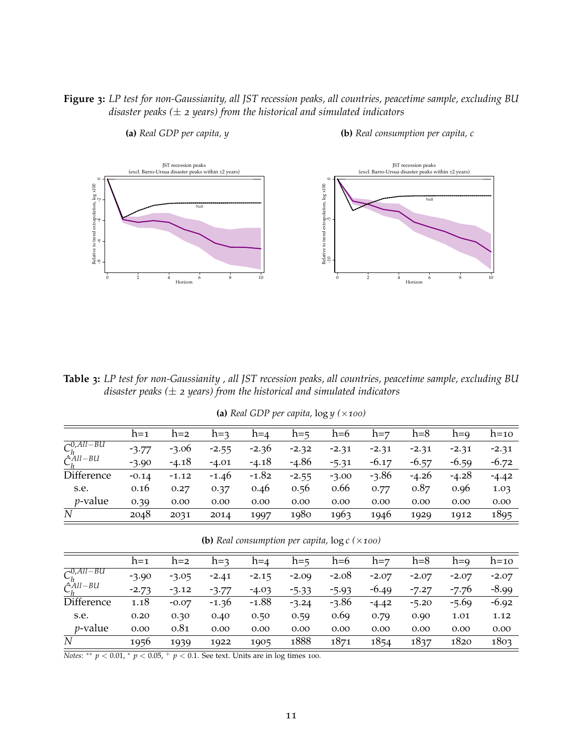## <span id="page-12-1"></span>**Figure 3:** *LP test for non-Gaussianity, all JST recession peaks, all countries, peacetime sample, excluding BU disaster peaks (*± *2 years) from the historical and simulated indicators*



**(a)** *Real GDP per capita, y*

**(b)** *Real consumption per capita, c*

<span id="page-12-0"></span>**Table 3:** *LP test for non-Gaussianity , all JST recession peaks, all countries, peacetime sample, excluding BU disaster peaks (*± *2 years) from the historical and simulated indicators*

| (a) Real GDP per capita, $\log y$ ( $\times$ 100) |  |  |  |
|---------------------------------------------------|--|--|--|
|---------------------------------------------------|--|--|--|

|                             | $h=1$   | $h=2$   | $h=3$   | $h=4$   | $h = 5$ | $h=6$   | $h = 7$ | h=8     | $h=9$   | $h=10$  |
|-----------------------------|---------|---------|---------|---------|---------|---------|---------|---------|---------|---------|
| $\overline{C_h^{0,All-BU}}$ | $-3.77$ | $-3.06$ | $-2.55$ | $-2.36$ | $-2.32$ | $-2.31$ | $-2.31$ | $-2.31$ | $-2.31$ | $-2.31$ |
| $\hat{C}_{h}^{All-BU}$      | $-3.90$ | $-4.18$ | $-4.01$ | $-4.18$ | $-4.86$ | $-5.31$ | $-6.17$ | $-6.57$ | $-6.59$ | $-6.72$ |
| Difference                  | $-0.14$ | $-1.12$ | $-1.46$ | $-1.82$ | $-2.55$ | $-3.00$ | $-3.86$ | $-4.26$ | $-4.28$ | $-4.42$ |
| s.e.                        | 0.16    | 0.27    | 0.37    | 0.46    | 0.56    | 0.66    | 0.77    | 0.87    | 0.96    | 1.03    |
| $p$ -value                  | 0.39    | 0.00    | 0.00    | 0.00    | 0.00    | 0.00    | 0.00    | 0.00    | 0.00    | 0.00    |
| N                           | 2048    | 2031    | 2014    | 1997    | 1980    | 1963    | 1946    | 1929    | 1912    | 1895    |

**(b)** *Real consumption per capita,* log *c (*×*100)*

|                               | $h=1$   | $h=2$   | $h = 3$ | $h = 4$ | $h = 5$ | $h=6$   | $h = 7$ | $h=8$   | $h=9$   | $h=10$  |
|-------------------------------|---------|---------|---------|---------|---------|---------|---------|---------|---------|---------|
| $\overline{C_{k}^{0,All-BU}}$ | $-3.90$ | $-3.05$ | $-2.41$ | $-2.15$ | $-2.09$ | $-2.08$ | $-2.07$ | $-2.07$ | $-2.07$ | $-2.07$ |
| $\hat{C}_h^{All-BU}$          | $-2.73$ | $-3.12$ | $-3.77$ | $-4.03$ | $-5.33$ | $-5.93$ | $-6.49$ | $-7.27$ | $-7.76$ | $-8.99$ |
| Difference                    | 1.18    | $-0.07$ | $-1.36$ | $-1.88$ | $-3.24$ | $-3.86$ | $-4.42$ | $-5.20$ | $-5.69$ | $-6.92$ |
| s.e.                          | 0.20    | 0.30    | 0.40    | 0.50    | 0.59    | 0.69    | 0.79    | 0.90    | 1.01    | 1.12    |
| $p$ -value                    | 0.00    | 0.81    | 0.00    | 0.00    | 0.00    | 0.00    | 0.00    | 0.00    | 0.00    | 0.00    |
| N                             | 1956    | 1939    | 1922    | 1905    | 1888    | 1871    | 1854    | 1837    | 1820    | 1803    |

 $\frac{1}{\text{Notes: } }$  ∗ *p* < 0.01, ∗ *p* < 0.05, <sup>+</sup> *p* < 0.1. See text. Units are in log times 100.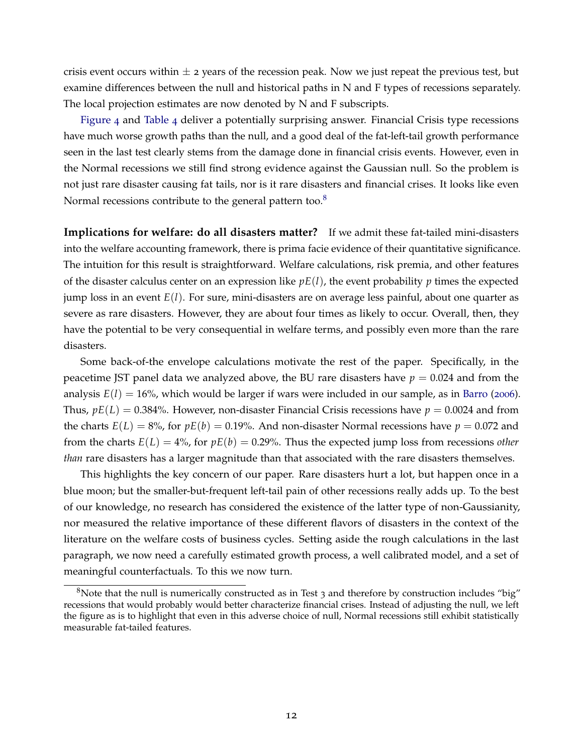crisis event occurs within  $\pm$  2 years of the recession peak. Now we just repeat the previous test, but examine differences between the null and historical paths in N and F types of recessions separately. The local projection estimates are now denoted by N and F subscripts.

[Figure](#page-14-0) 4 and [Table](#page-14-1) 4 deliver a potentially surprising answer. Financial Crisis type recessions have much worse growth paths than the null, and a good deal of the fat-left-tail growth performance seen in the last test clearly stems from the damage done in financial crisis events. However, even in the Normal recessions we still find strong evidence against the Gaussian null. So the problem is not just rare disaster causing fat tails, nor is it rare disasters and financial crises. It looks like even Normal recessions contribute to the general pattern too.<sup>[8](#page-13-0)</sup>

**Implications for welfare: do all disasters matter?** If we admit these fat-tailed mini-disasters into the welfare accounting framework, there is prima facie evidence of their quantitative significance. The intuition for this result is straightforward. Welfare calculations, risk premia, and other features of the disaster calculus center on an expression like  $pE(l)$ , the event probability  $p$  times the expected jump loss in an event *E*(*l*). For sure, mini-disasters are on average less painful, about one quarter as severe as rare disasters. However, they are about four times as likely to occur. Overall, then, they have the potential to be very consequential in welfare terms, and possibly even more than the rare disasters.

Some back-of-the envelope calculations motivate the rest of the paper. Specifically, in the peacetime JST panel data we analyzed above, the BU rare disasters have  $p = 0.024$  and from the analysis  $E(l) = 16\%$ , which would be larger if wars were included in our sample, as in [Barro](#page-28-0) ([2006](#page-28-0)). Thus,  $pE(L) = 0.384\%$ . However, non-disaster Financial Crisis recessions have  $p = 0.0024$  and from the charts  $E(L) = 8\%$ , for  $pE(b) = 0.19\%$ . And non-disaster Normal recessions have  $p = 0.072$  and from the charts  $E(L) = 4\%$ , for  $pE(b) = 0.29\%$ . Thus the expected jump loss from recessions *other than* rare disasters has a larger magnitude than that associated with the rare disasters themselves.

This highlights the key concern of our paper. Rare disasters hurt a lot, but happen once in a blue moon; but the smaller-but-frequent left-tail pain of other recessions really adds up. To the best of our knowledge, no research has considered the existence of the latter type of non-Gaussianity, nor measured the relative importance of these different flavors of disasters in the context of the literature on the welfare costs of business cycles. Setting aside the rough calculations in the last paragraph, we now need a carefully estimated growth process, a well calibrated model, and a set of meaningful counterfactuals. To this we now turn.

<span id="page-13-0"></span><sup>&</sup>lt;sup>8</sup>Note that the null is numerically constructed as in Test 3 and therefore by construction includes "big" recessions that would probably would better characterize financial crises. Instead of adjusting the null, we left the figure as is to highlight that even in this adverse choice of null, Normal recessions still exhibit statistically measurable fat-tailed features.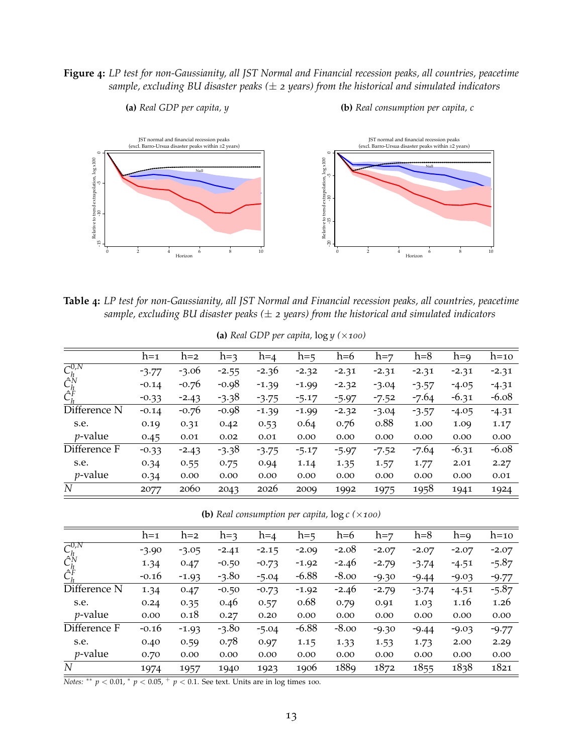## <span id="page-14-0"></span>**Figure 4:** *LP test for non-Gaussianity, all JST Normal and Financial recession peaks, all countries, peacetime sample, excluding BU disaster peaks (*± *2 years) from the historical and simulated indicators*

**(b)** *Real consumption per capita, c*

**(a)** *Real GDP per capita, y*



<span id="page-14-1"></span>**Table 4:** *LP test for non-Gaussianity, all JST Normal and Financial recession peaks, all countries, peacetime sample, excluding BU disaster peaks (*± *2 years) from the historical and simulated indicators*

|                                                                                 |         |         |         |         | $\sum_{i=1}^{n}$ |         |         |         |         |         |
|---------------------------------------------------------------------------------|---------|---------|---------|---------|------------------|---------|---------|---------|---------|---------|
|                                                                                 | $h=1$   | $h=2$   | $h=3$   | $h=4$   | $h = 5$          | $h=6$   | $h = 7$ | $h=8$   | $h=9$   | $h=10$  |
| $\begin{matrix} C_h^{0,N} \hat{C}_h^N \ \hat{C}_h^N \ \hat{C}_h^F \end{matrix}$ | $-3.77$ | $-3.06$ | $-2.55$ | $-2.36$ | $-2.32$          | $-2.31$ | $-2.31$ | $-2.31$ | $-2.31$ | $-2.31$ |
|                                                                                 | $-0.14$ | $-0.76$ | $-0.98$ | $-1.39$ | $-1.99$          | $-2.32$ | $-3.04$ | $-3.57$ | $-4.05$ | $-4.31$ |
|                                                                                 | $-0.33$ | $-2.43$ | $-3.38$ | $-3.75$ | $-5.17$          | $-5.97$ | $-7.52$ | $-7.64$ | $-6.31$ | $-6.08$ |
| Difference N                                                                    | $-0.14$ | $-0.76$ | -0.98   | $-1.39$ | $-1.99$          | $-2.32$ | $-3.04$ | $-3.57$ | $-4.05$ | $-4.31$ |
| s.e.                                                                            | 0.19    | 0.31    | 0.42    | 0.53    | 0.64             | 0.76    | 0.88    | 1.00    | 1.09    | 1.17    |
| $p$ -value                                                                      | 0.45    | 0.01    | 0.02    | 0.01    | 0.00             | 0.00    | 0.00    | 0.00    | 0.00    | 0.00    |
| Difference F                                                                    | $-0.33$ | $-2.43$ | $-3.38$ | $-3.75$ | $-5.17$          | $-5.97$ | $-7.52$ | $-7.64$ | $-6.31$ | $-6.08$ |
| s.e.                                                                            | 0.34    | 0.55    | 0.75    | 0.94    | 1.14             | 1.35    | 1.57    | 1.77    | 2.01    | 2.27    |
| $p$ -value                                                                      | 0.34    | 0.00    | 0.00    | 0.00    | 0.00             | 0.00    | 0.00    | 0.00    | 0.00    | 0.01    |
| N                                                                               | 2077    | 2060    | 2043    | 2026    | 2009             | 1992    | 1975    | 1958    | 1941    | 1924    |

**(a)** *Real GDP per capita*,  $log y$  ( $\times$ *100*)

**(b)** *Real consumption per capita,* log *c (*×*100)*

|                                                          | $h=1$   | $h=2$   | $h=3$   | $h=4$   | $h=5$   | $h=6$   | $h = 7$ | $h=8$   | $h=9$   | $h=10$  |
|----------------------------------------------------------|---------|---------|---------|---------|---------|---------|---------|---------|---------|---------|
| $\overline{C_h^{0,N}}$<br>$\hat{C}_h^N$<br>$\hat{C}_h^F$ | $-3.90$ | $-3.05$ | $-2.41$ | $-2.15$ | $-2.09$ | $-2.08$ | $-2.07$ | $-2.07$ | $-2.07$ | $-2.07$ |
|                                                          | 1.34    | 0.47    | $-0.50$ | $-0.73$ | $-1.92$ | $-2.46$ | $-2.79$ | $-3.74$ | $-4.51$ | $-5.87$ |
|                                                          | $-0.16$ | $-1.93$ | $-3.80$ | $-5.04$ | $-6.88$ | $-8.00$ | $-9.30$ | $-9.44$ | $-9.03$ | $-9.77$ |
| Difference N                                             | 1.34    | 0.47    | $-0.50$ | $-0.73$ | $-1.92$ | $-2.46$ | $-2.79$ | $-3.74$ | $-4.51$ | $-5.87$ |
| s.e.                                                     | 0.24    | 0.35    | 0.46    | 0.57    | 0.68    | 0.79    | 0.91    | 1.03    | 1.16    | 1.26    |
| <i>p</i> -value                                          | 0.00    | 0.18    | 0.27    | 0.20    | 0.00    | 0.00    | 0.00    | 0.00    | 0.00    | 0.00    |
| Difference F                                             | $-0.16$ | $-1.93$ | $-3.80$ | $-5.04$ | $-6.88$ | $-8.00$ | $-9.30$ | $-9.44$ | $-9.03$ | $-9.77$ |
| s.e.                                                     | 0.40    | 0.59    | 0.78    | 0.97    | 1.15    | 1.33    | 1.53    | 1.73    | 2.00    | 2.29    |
| <i>p</i> -value                                          | 0.70    | 0.00    | 0.00    | 0.00    | 0.00    | 0.00    | 0.00    | 0.00    | 0.00    | 0.00    |
| $\boldsymbol{N}$                                         | 1974    | 1957    | 1940    | 1923    | 1906    | 1889    | 1872    | 1855    | 1838    | 1821    |
|                                                          |         |         |         |         |         |         |         |         |         |         |

*Notes:*  $*$  *p* < 0.01,  $*$  *p* < 0.05,  $*$  *p* < 0.1. See text. Units are in log times 100.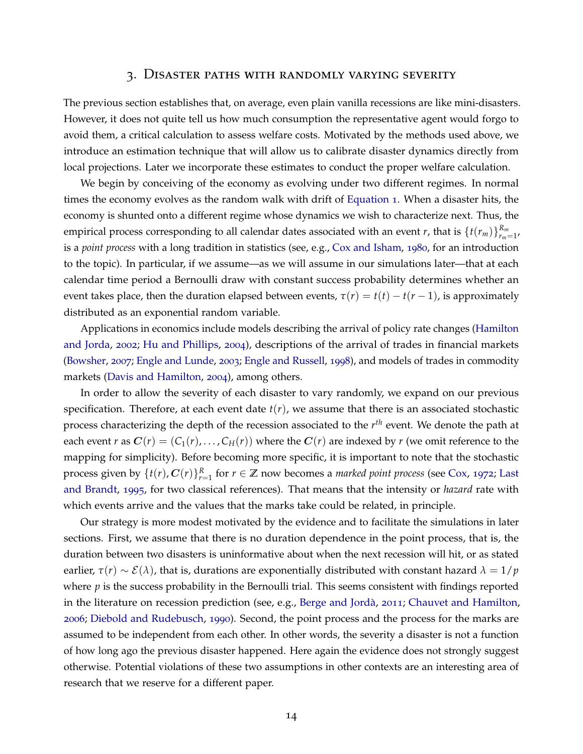#### 3. Disaster paths with randomly varying severity

The previous section establishes that, on average, even plain vanilla recessions are like mini-disasters. However, it does not quite tell us how much consumption the representative agent would forgo to avoid them, a critical calculation to assess welfare costs. Motivated by the methods used above, we introduce an estimation technique that will allow us to calibrate disaster dynamics directly from local projections. Later we incorporate these estimates to conduct the proper welfare calculation.

We begin by conceiving of the economy as evolving under two different regimes. In normal times the economy evolves as the random walk with drift of [Equation](#page-5-0) 1. When a disaster hits, the economy is shunted onto a different regime whose dynamics we wish to characterize next. Thus, the empirical process corresponding to all calendar dates associated with an event *r*, that is  $\{t(r_m)\}_{r_m=1}^{R_m}$ , is a *point process* with a long tradition in statistics (see, e.g., [Cox and Isham,](#page-28-9) [1980](#page-28-9), for an introduction to the topic). In particular, if we assume—as we will assume in our simulations later—that at each calendar time period a Bernoulli draw with constant success probability determines whether an event takes place, then the duration elapsed between events,  $\tau(r) = t(t) - t(r-1)$ , is approximately distributed as an exponential random variable.

Applications in economics include models describing the arrival of policy rate changes [\(Hamilton](#page-29-13) [and Jorda,](#page-29-13) [2002](#page-29-13); [Hu and Phillips,](#page-29-14) [2004](#page-29-14)), descriptions of the arrival of trades in financial markets [\(Bowsher,](#page-28-10) [2007](#page-28-10); [Engle and Lunde,](#page-29-15) [2003](#page-29-15); [Engle and Russell,](#page-29-16) [1998](#page-29-16)), and models of trades in commodity markets [\(Davis and Hamilton,](#page-28-11) [2004](#page-28-11)), among others.

In order to allow the severity of each disaster to vary randomly, we expand on our previous specification. Therefore, at each event date  $t(r)$ , we assume that there is an associated stochastic process characterizing the depth of the recession associated to the *r th* event. We denote the path at each event *r* as  $C(r) = (C_1(r), \ldots, C_H(r))$  where the  $C(r)$  are indexed by *r* (we omit reference to the mapping for simplicity). Before becoming more specific, it is important to note that the stochastic process given by  $\{t(r), C(r)\}_{r=1}^R$  for  $r \in \mathbb{Z}$  now becomes a *marked point process* (see [Cox,](#page-28-12) [1972](#page-28-12); [Last](#page-30-14) [and Brandt,](#page-30-14) [1995](#page-30-14), for two classical references). That means that the intensity or *hazard* rate with which events arrive and the values that the marks take could be related, in principle.

Our strategy is more modest motivated by the evidence and to facilitate the simulations in later sections. First, we assume that there is no duration dependence in the point process, that is, the duration between two disasters is uninformative about when the next recession will hit, or as stated earlier,  $\tau(r) \sim \mathcal{E}(\lambda)$ , that is, durations are exponentially distributed with constant hazard  $\lambda = 1/p$ where *p* is the success probability in the Bernoulli trial. This seems consistent with findings reported in the literature on recession prediction (see, e.g., Berge and Jordà, [2011](#page-28-13); [Chauvet and Hamilton,](#page-28-14) [2006](#page-28-14); [Diebold and Rudebusch,](#page-29-17) [1990](#page-29-17)). Second, the point process and the process for the marks are assumed to be independent from each other. In other words, the severity a disaster is not a function of how long ago the previous disaster happened. Here again the evidence does not strongly suggest otherwise. Potential violations of these two assumptions in other contexts are an interesting area of research that we reserve for a different paper.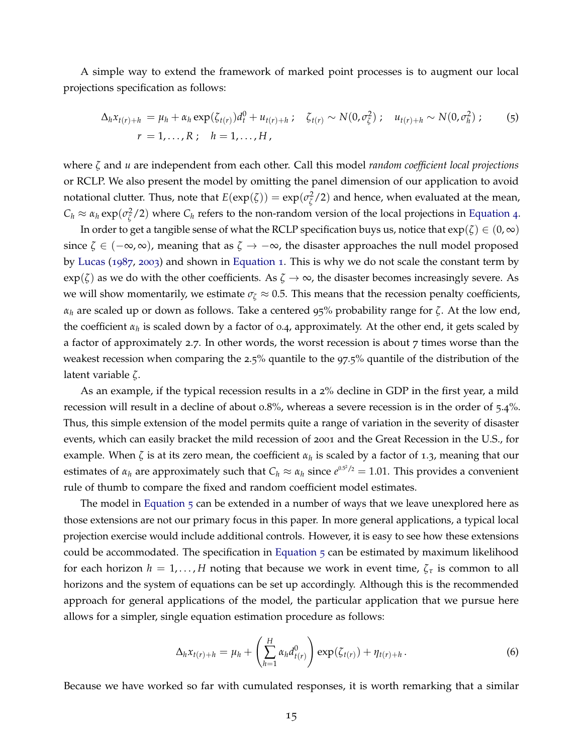A simple way to extend the framework of marked point processes is to augment our local projections specification as follows:

<span id="page-16-0"></span>
$$
\Delta_h x_{t(r)+h} = \mu_h + \alpha_h \exp(\zeta_{t(r)}) d_t^0 + u_{t(r)+h} \; ; \quad \zeta_{t(r)} \sim N(0, \sigma_{\zeta}^2) \; ; \quad u_{t(r)+h} \sim N(0, \sigma_h^2) \; ; \qquad (5)
$$
  

$$
r = 1, ..., R \; ; \quad h = 1, ..., H \; ,
$$

where *ζ* and *u* are independent from each other. Call this model *random coefficient local projections* or RCLP. We also present the model by omitting the panel dimension of our application to avoid notational clutter. Thus, note that  $E(\exp(\zeta)) = \exp(\sigma_{\zeta}^2)$  $\frac{2}{\zeta}$ /2) and hence, when evaluated at the mean, *C*<sup>*h*</sup> ≈ *α*<sup>*h*</sup> exp( $σ^2$ <sub> $ζ$ </sub>  $\frac{2}{\zeta}$  /2) where  $C_h$  refers to the non-random version of the local projections in [Equation](#page-6-1) 4.

In order to get a tangible sense of what the RCLP specification buys us, notice that  $exp(\zeta) \in (0, \infty)$ since *ζ* ∈ (−∞, ∞), meaning that as *ζ* → −∞, the disaster approaches the null model proposed by [Lucas](#page-30-0) ([1987](#page-30-0), [2003](#page-30-1)) and shown in [Equation](#page-5-0) 1. This is why we do not scale the constant term by  $\exp(\zeta)$  as we do with the other coefficients. As  $\zeta \to \infty$ , the disaster becomes increasingly severe. As we will show momentarily, we estimate  $\sigma_{\zeta} \approx 0.5$ . This means that the recession penalty coefficients, *α<sup>h</sup>* are scaled up or down as follows. Take a centered 95% probability range for *ζ*. At the low end, the coefficient *α<sup>h</sup>* is scaled down by a factor of 0.4, approximately. At the other end, it gets scaled by a factor of approximately 2.7. In other words, the worst recession is about 7 times worse than the weakest recession when comparing the 2.5% quantile to the 97.5% quantile of the distribution of the latent variable *ζ*.

As an example, if the typical recession results in a 2% decline in GDP in the first year, a mild recession will result in a decline of about 0.8%, whereas a severe recession is in the order of 5.4%. Thus, this simple extension of the model permits quite a range of variation in the severity of disaster events, which can easily bracket the mild recession of 2001 and the Great Recession in the U.S., for example. When *ζ* is at its zero mean, the coefficient *α<sup>h</sup>* is scaled by a factor of 1.3, meaning that our estimates of  $\alpha_h$  are approximately such that  $C_h \approx \alpha_h$  since  $e^{0.5^2/2} = 1.01$ . This provides a convenient rule of thumb to compare the fixed and random coefficient model estimates.

The model in [Equation](#page-16-0) 5 can be extended in a number of ways that we leave unexplored here as those extensions are not our primary focus in this paper. In more general applications, a typical local projection exercise would include additional controls. However, it is easy to see how these extensions could be accommodated. The specification in [Equation](#page-16-0)  $5$  can be estimated by maximum likelihood for each horizon  $h = 1, \ldots, H$  noting that because we work in event time,  $\zeta_{\tau}$  is common to all horizons and the system of equations can be set up accordingly. Although this is the recommended approach for general applications of the model, the particular application that we pursue here allows for a simpler, single equation estimation procedure as follows:

<span id="page-16-1"></span>
$$
\Delta_h x_{t(r)+h} = \mu_h + \left(\sum_{h=1}^H \alpha_h d_{t(r)}^0\right) \exp(\zeta_{t(r)}) + \eta_{t(r)+h}.
$$
\n(6)

Because we have worked so far with cumulated responses, it is worth remarking that a similar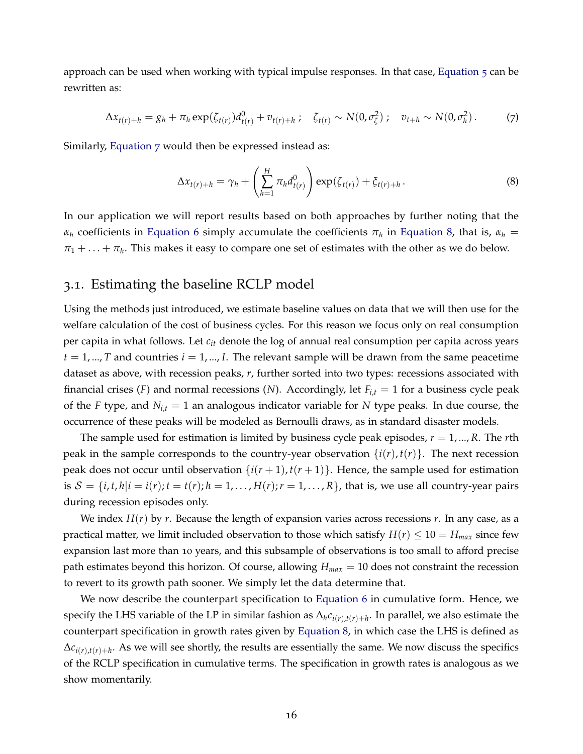approach can be used when working with typical impulse responses. In that case, [Equation](#page-16-0) 5 can be rewritten as:

$$
\Delta x_{t(r)+h} = g_h + \pi_h \exp(\zeta_{t(r)}) d_{t(r)}^0 + v_{t(r)+h} \; ; \quad \zeta_{t(r)} \sim N(0, \sigma_{\zeta}^2) \; ; \quad v_{t+h} \sim N(0, \sigma_h^2) \; . \tag{7}
$$

Similarly, [Equation](#page-17-0) 7 would then be expressed instead as:

<span id="page-17-1"></span><span id="page-17-0"></span>
$$
\Delta x_{t(r)+h} = \gamma_h + \left(\sum_{h=1}^H \pi_h d_{t(r)}^0\right) \exp(\zeta_{t(r)}) + \zeta_{t(r)+h}.
$$
 (8)

In our application we will report results based on both approaches by further noting that the *α*<sub>*h*</sub> coefficients in [Equation](#page-17-1) 6 simply accumulate the coefficients  $π$ <sup>*h*</sup> in Equation 8, that is,  $α$ <sup>*h*</sup> =  $\pi_1 + \ldots + \pi_h$ . This makes it easy to compare one set of estimates with the other as we do below.

## 3.1. Estimating the baseline RCLP model

Using the methods just introduced, we estimate baseline values on data that we will then use for the welfare calculation of the cost of business cycles. For this reason we focus only on real consumption per capita in what follows. Let *cit* denote the log of annual real consumption per capita across years  $t = 1, ..., T$  and countries  $i = 1, ..., I$ . The relevant sample will be drawn from the same peacetime dataset as above, with recession peaks, *r*, further sorted into two types: recessions associated with financial crises (*F*) and normal recessions (*N*). Accordingly, let *Fi*,*<sup>t</sup>* = 1 for a business cycle peak of the *F* type, and *Ni*,*<sup>t</sup>* = 1 an analogous indicator variable for *N* type peaks. In due course, the occurrence of these peaks will be modeled as Bernoulli draws, as in standard disaster models.

The sample used for estimation is limited by business cycle peak episodes, *r* = 1, ..., *R*. The *r*th peak in the sample corresponds to the country-year observation  $\{i(r), t(r)\}\$ . The next recession peak does not occur until observation  $\{i(r+1), t(r+1)\}$ . Hence, the sample used for estimation is  $S = \{i, t, h | i = i(r); t = t(r); h = 1, \ldots, H(r); r = 1, \ldots, R\}$ , that is, we use all country-year pairs during recession episodes only.

We index  $H(r)$  by r. Because the length of expansion varies across recessions r. In any case, as a practical matter, we limit included observation to those which satisfy  $H(r) \leq 10 = H_{max}$  since few expansion last more than 10 years, and this subsample of observations is too small to afford precise path estimates beyond this horizon. Of course, allowing *Hmax* = 10 does not constraint the recession to revert to its growth path sooner. We simply let the data determine that.

We now describe the counterpart specification to [Equation](#page-16-1) 6 in cumulative form. Hence, we specify the LHS variable of the LP in similar fashion as ∆*hci*(*r*),*t*(*r*)+*<sup>h</sup>* . In parallel, we also estimate the counterpart specification in growth rates given by [Equation](#page-17-1) 8, in which case the LHS is defined as  $\Delta c_{i(r),t(r)+h}$ . As we will see shortly, the results are essentially the same. We now discuss the specifics of the RCLP specification in cumulative terms. The specification in growth rates is analogous as we show momentarily.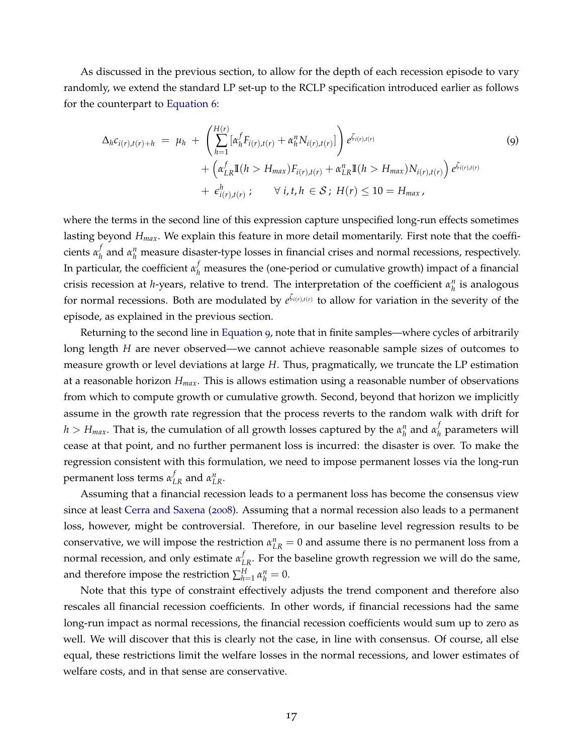As discussed in the previous section, to allow for the depth of each recession episode to vary randomly, we extend the standard LP set-up to the RCLP specification introduced earlier as follows for the counterpart to [Equation](#page-16-1) 6:

<span id="page-18-0"></span>
$$
\Delta_{h}c_{i(r),t(r)+h} = \mu_{h} + \left(\sum_{h=1}^{H(r)} [\alpha_{h}^{f}F_{i(r),t(r)} + \alpha_{h}^{n}N_{i(r),t(r)}]\right) e^{\zeta_{i(r),t(r)}} + (\alpha_{LR}^{f} \mathbb{I}(h > H_{max})F_{i(r),t(r)} + \alpha_{LR}^{n} \mathbb{I}(h > H_{max})N_{i(r),t(r)}) e^{\zeta_{i(r),t(r)}} + \epsilon_{i(r),t(r)}^{h}; \quad \forall i, t, h \in S; H(r) \leq 10 = H_{max},
$$
\n(9)

where the terms in the second line of this expression capture unspecified long-run effects sometimes lasting beyond *Hmax*. We explain this feature in more detail momentarily. First note that the coefficients *α f*  $\mu_h^f$  and  $\alpha_h^n$  measure disaster-type losses in financial crises and normal recessions, respectively. In particular, the coefficient  $\alpha_h^f$  measures the (one-period or cumulative growth) impact of a financial crisis recession at *h*-years, relative to trend. The interpretation of the coefficient  $\alpha_h^n$  is analogous for normal recessions. Both are modulated by  $e^{\zeta_i(r),t(r)}$  to allow for variation in the severity of the episode, as explained in the previous section.

Returning to the second line in [Equation](#page-18-0) 9, note that in finite samples—where cycles of arbitrarily long length *H* are never observed—we cannot achieve reasonable sample sizes of outcomes to measure growth or level deviations at large *H*. Thus, pragmatically, we truncate the LP estimation at a reasonable horizon *Hmax*. This is allows estimation using a reasonable number of observations from which to compute growth or cumulative growth. Second, beyond that horizon we implicitly assume in the growth rate regression that the process reverts to the random walk with drift for  $h > H_{max}$ . That is, the cumulation of all growth losses captured by the  $\alpha_h^n$  and  $\alpha_h^f$ *h* parameters will cease at that point, and no further permanent loss is incurred: the disaster is over. To make the regression consistent with this formulation, we need to impose permanent losses via the long-run permanent loss terms  $\alpha_{LR}^f$  and  $\alpha_{LR}^n$ .

Assuming that a financial recession leads to a permanent loss has become the consensus view since at least [Cerra and Saxena](#page-28-15) ([2008](#page-28-15)). Assuming that a normal recession also leads to a permanent loss, however, might be controversial. Therefore, in our baseline level regression results to be conservative, we will impose the restriction  $\alpha_{LR}^n = 0$  and assume there is no permanent loss from a normal recession, and only estimate  $α_{LR}^f$ . For the baseline growth regression we will do the same, and therefore impose the restriction  $\sum_{h=1}^{H} \alpha_h^n = 0$ .

Note that this type of constraint effectively adjusts the trend component and therefore also rescales all financial recession coefficients. In other words, if financial recessions had the same long-run impact as normal recessions, the financial recession coefficients would sum up to zero as well. We will discover that this is clearly not the case, in line with consensus. Of course, all else equal, these restrictions limit the welfare losses in the normal recessions, and lower estimates of welfare costs, and in that sense are conservative.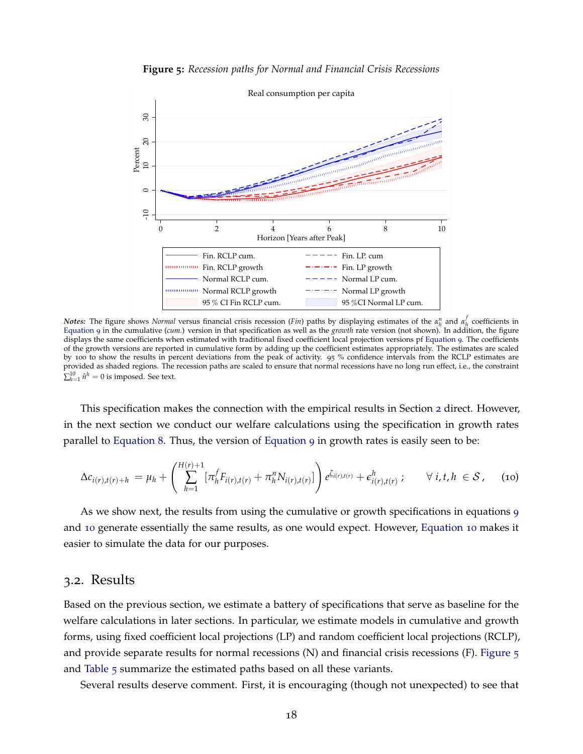<span id="page-19-1"></span>

**Figure 5:** *Recession paths for Normal and Financial Crisis Recessions*

*Notes:* The figure shows *Normal* versus financial crisis recession (*Fin*) paths by displaying estimates of the  $\alpha_{h}^{n}$  and  $\alpha_{h}^{f}$  coefficients in [Equation](#page-18-0) 9 in the cumulative (*cum.*) version in that specification as well as the *growth* rate version (not shown). In addition, the figure displays the same coefficients when estimated with traditional fixed coefficient local projection versions pf [Equation](#page-18-0) 9. The coefficients of the growth versions are reported in cumulative form by adding up the coefficient estimates appropriately. The estimates are scaled by 100 to show the results in percent deviations from the peak of activity. 95 % confidence intervals from the RCLP estimates are provided as shaded regions. The recession paths are scaled to ensure that normal recessions have no long run effect, i.e., the constraint  $\sum_{h=1}^{10} \hat{n}^h = 0$  is imposed. See text.

This specification makes the connection with the empirical results in Section [2](#page-4-1) direct. However, in the next section we conduct our welfare calculations using the specification in growth rates parallel to [Equation](#page-17-1) 8. Thus, the version of [Equation](#page-18-0) 9 in growth rates is easily seen to be:

<span id="page-19-0"></span>
$$
\Delta c_{i(r),t(r)+h} = \mu_h + \left( \sum_{h=1}^{H(r)+1} [\pi_h^f F_{i(r),t(r)} + \pi_h^n N_{i(r),t(r)}] \right) e^{\zeta_{i(r),t(r)}} + \epsilon_{i(r),t(r)}^h ; \qquad \forall \ i, t, h \in S, \quad (10)
$$

As we show next, the results from using the cumulative or growth specifications in equations [9](#page-18-0) and [10](#page-19-0) generate essentially the same results, as one would expect. However, [Equation](#page-19-0) 10 makes it easier to simulate the data for our purposes.

# 3.2. Results

Based on the previous section, we estimate a battery of specifications that serve as baseline for the welfare calculations in later sections. In particular, we estimate models in cumulative and growth forms, using fixed coefficient local projections (LP) and random coefficient local projections (RCLP), and provide separate results for normal recessions  $(N)$  and financial crisis recessions  $(F)$ . [Figure](#page-19-1)  $\frac{1}{5}$ and [Table](#page-20-0) 5 summarize the estimated paths based on all these variants.

Several results deserve comment. First, it is encouraging (though not unexpected) to see that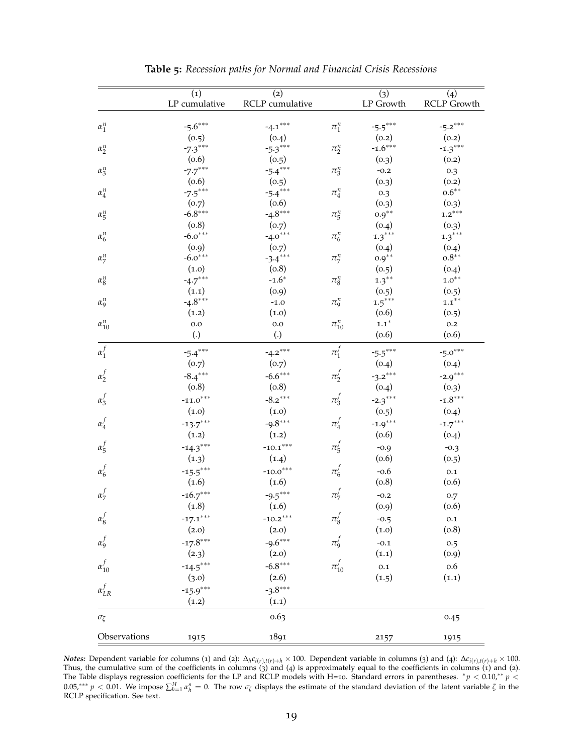<span id="page-20-0"></span>

|                  | (1)<br>LP cumulative | (2)<br>RCLP cumulative |              | (3)<br>LP Growth   | (4)<br><b>RCLP Growth</b> |
|------------------|----------------------|------------------------|--------------|--------------------|---------------------------|
|                  |                      |                        |              |                    |                           |
| $\alpha_1^n$     | $-5.6***$            | $-4.1***$              | $\pi_1^n$    | $-5.5***$          | $-5.2***$                 |
|                  | (0.5)                | (0.4)                  |              | (0.2)              | (0.2)                     |
| $\alpha_2^n$     | $-7.3***$            | $-5.3***$              | $\pi_2^n$    | $-1.6***$          | $-1.3***$                 |
|                  | (0.6)                | (0.5)                  |              | (0.3)              | (0.2)                     |
| $\alpha_3^n$     | $-7.7***$            | $-5.4***$              | $\pi_3^n$    | $-0.2$             | 0.3                       |
|                  | (0.6)                | (0.5)                  |              | (0.3)              | (0.2)                     |
| $\alpha_4^n$     | $-7.5***$            | $-5.4***$              | $\pi_4^n$    | 0.3                | $0.6***$                  |
|                  | (0.7)                | (0.6)                  |              | (0.3)              | (0.3)                     |
| $\alpha_5^n$     | $-6.8***$            | $-4.8***$              | $\pi_5^n$    | $0.9^{\ast\ast}$   | $1.2***$                  |
|                  | (0.8)                | (0.7)                  |              | (0.4)              | (0.3)                     |
| $\alpha_6^n$     | $-6.0***$            | $-4.0***$              | $\pi^n_6$    | $1.3***$           | $1.3***$                  |
|                  | (0.9)                | (0.7)                  |              | (0.4)              | (0.4)                     |
| $\alpha_7^n$     | $-6.0***$            | $-3.4***$              | $\pi_7^n$    | $0.9^{\ast\ast}$   | $0.8***$                  |
|                  | (1.0)                | (0.8)                  |              | (0.5)              | (0.4)                     |
| $\alpha_8^n$     | $-4.7***$            | $-1.6*$                | $\pi_8^n$    | $1.3***$           | $1.0^{**}$                |
|                  | (1.1)                | (0.9)                  |              | (0.5)              | (0.5)                     |
| $\alpha_9^n$     | $-4.8***$            | $-1.0$                 | $\pi_9^n$    | $1.5***$           | $1.1***$                  |
|                  | (1.2)                | (1.0)                  |              | (0.6)              | (0.5)                     |
| $\alpha_{10}^n$  | 0.0                  | 0.0                    | $\pi_{10}^n$ | $\mathbf{1.1}^{*}$ | 0.2                       |
|                  | $\left( . \right)$   | (.)                    |              | (0.6)              | (0.6)                     |
| $\alpha_1^f$     | $-5.4***$            | $-4.2***$              | $\pi_1^f$    | $-5.5***$          | $-5.0***$                 |
|                  | (0.7)                | (0.7)                  |              | (0.4)              | (0.4)                     |
| $\alpha_2^f$     | $-8.4***$            | $-6.6***$              | $\pi_2^f$    | $-3.2***$          | $-2.9***$                 |
|                  | (0.8)                | (0.8)                  |              | (0.4)              | (0.3)                     |
| $\alpha_3^f$     | $-11.0***$           | $-8.2***$              | $\pi_3^f$    | $-2.3***$          | $-1.8***$                 |
|                  | (1.0)                | (1.0)                  |              | (0.5)              | (0.4)                     |
| $\alpha_4^f$     | $-13.7***$           | $-9.8***$              | $\pi_4^f$    | $-1.9***$          | $-1.7***$                 |
|                  | (1.2)                | (1.2)                  |              | (0.6)              | (0.4)                     |
|                  |                      |                        |              |                    |                           |
| $\alpha_5^f$     | $-14.3***$           | $-10.1***$             | $\pi_5^f$    | $-0.9$             | $-0.3$                    |
|                  | (1.3)                | (1.4)                  |              | (0.6)              | (0.5)                     |
| $\alpha_6^f$     | $-15.5***$           | $-10.0***$             | $\pi_6^J$    | $-0.6$             | $0.1\,$                   |
|                  | (1.6)                | (1.6)                  |              | (0.8)              | (0.6)                     |
| $\alpha_7^f$     | $-16.7***$           | $-9.5***$              | $\pi_7^f$    | $-0.2$             | 0.7                       |
|                  | (1.8)                | (1.6)                  |              | (0.9)              | (0.6)                     |
| $\alpha_8^f$     | $-17.1***$           | $-10.2***$             | $\pi_8^f$    | $-0.5$             | $0.1\,$                   |
|                  | (2.0)                | (2.0)                  |              | (1.0)              | (0.8)                     |
| $\alpha_9^f$     | $-17.8***$           | $-9.6***$              | $\pi_9^f$    | $-0.1$             | 0.5                       |
|                  | (2.3)                | (2.0)                  |              | (1.1)              | (0.9)                     |
| $\alpha_{10}^f$  | $-14.5***$           | $-6.8***$              | $\pi_{10}^f$ | $0.1\,$            | 0.6                       |
|                  | (3.0)                | (2.6)                  |              | (1.5)              | (1.1)                     |
| $\alpha_{LR}^f$  | $-15.9***$           | $-3.8***$              |              |                    |                           |
|                  | (1.2)                | (1.1)                  |              |                    |                           |
| $\sigma_{\zeta}$ |                      | 0.63                   |              |                    | 0.45                      |
|                  |                      |                        |              |                    |                           |
| Observations     | 1915                 | 1891                   |              | 2157               | 1915                      |

**Table 5:** *Recession paths for Normal and Financial Crisis Recessions*

**Notes:** Dependent variable for columns (1) and (2):  $\Delta_h c_{i(r),t(r)+h} \times 100$ . Dependent variable in columns (3) and (4):  $\Delta c_{i(r),t(r)+h} \times 100$ . Thus, the cumulative sum of the coefficients in columns  $\binom{3}{3}$  and  $\left(4\right)$  is approximately equal to the coefficients in columns  $\left(1\right)$  and  $\left(2\right)$ . The Table displays regression coefficients for the LP and RCLP models with H=10. Standard errors in parentheses.  $* p < 0.10, ** p <$ 0.05,\*\*\*  $p < 0.01$ . We impose  $\sum_{h=1}^{H} \alpha_h^n = 0$ . The row  $\sigma_{\zeta}$  displays the estimate of the standard deviation of the latent variable  $\zeta$  in the RCLP specification. See text.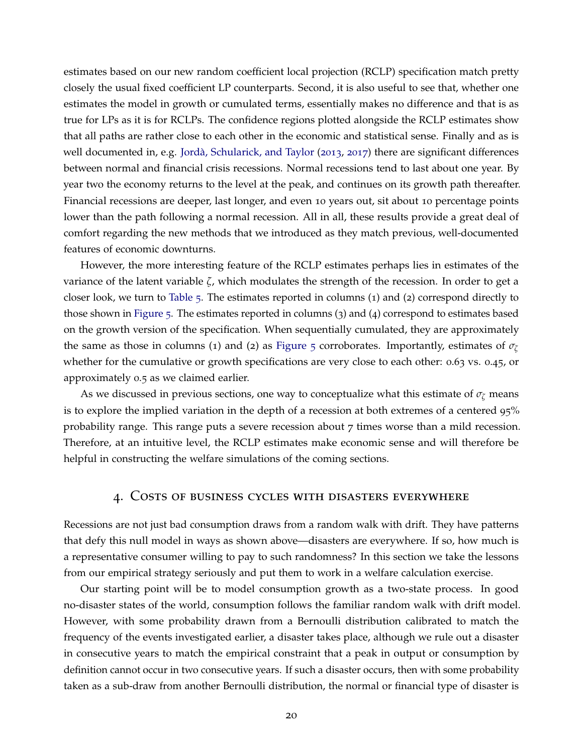estimates based on our new random coefficient local projection (RCLP) specification match pretty closely the usual fixed coefficient LP counterparts. Second, it is also useful to see that, whether one estimates the model in growth or cumulated terms, essentially makes no difference and that is as true for LPs as it is for RCLPs. The confidence regions plotted alongside the RCLP estimates show that all paths are rather close to each other in the economic and statistical sense. Finally and as is well documented in, e.g. Jordà, Schularick, and Taylor ([2013](#page-29-11), [2017](#page-29-3)) there are significant differences between normal and financial crisis recessions. Normal recessions tend to last about one year. By year two the economy returns to the level at the peak, and continues on its growth path thereafter. Financial recessions are deeper, last longer, and even 10 years out, sit about 10 percentage points lower than the path following a normal recession. All in all, these results provide a great deal of comfort regarding the new methods that we introduced as they match previous, well-documented features of economic downturns.

However, the more interesting feature of the RCLP estimates perhaps lies in estimates of the variance of the latent variable *ζ*, which modulates the strength of the recession. In order to get a closer look, we turn to [Table](#page-20-0) 5. The estimates reported in columns (1) and (2) correspond directly to those shown in [Figure](#page-19-1) 5. The estimates reported in columns (3) and (4) correspond to estimates based on the growth version of the specification. When sequentially cumulated, they are approximately the same as those in columns (1) and (2) as [Figure](#page-19-1) 5 corroborates. Importantly, estimates of *<sup>σ</sup><sup>ζ</sup>* whether for the cumulative or growth specifications are very close to each other: 0.63 vs. 0.45, or approximately 0.5 as we claimed earlier.

As we discussed in previous sections, one way to conceptualize what this estimate of  $\sigma_{\zeta}$  means is to explore the implied variation in the depth of a recession at both extremes of a centered 95% probability range. This range puts a severe recession about 7 times worse than a mild recession. Therefore, at an intuitive level, the RCLP estimates make economic sense and will therefore be helpful in constructing the welfare simulations of the coming sections.

## 4. Costs of business cycles with disasters everywhere

Recessions are not just bad consumption draws from a random walk with drift. They have patterns that defy this null model in ways as shown above—disasters are everywhere. If so, how much is a representative consumer willing to pay to such randomness? In this section we take the lessons from our empirical strategy seriously and put them to work in a welfare calculation exercise.

Our starting point will be to model consumption growth as a two-state process. In good no-disaster states of the world, consumption follows the familiar random walk with drift model. However, with some probability drawn from a Bernoulli distribution calibrated to match the frequency of the events investigated earlier, a disaster takes place, although we rule out a disaster in consecutive years to match the empirical constraint that a peak in output or consumption by definition cannot occur in two consecutive years. If such a disaster occurs, then with some probability taken as a sub-draw from another Bernoulli distribution, the normal or financial type of disaster is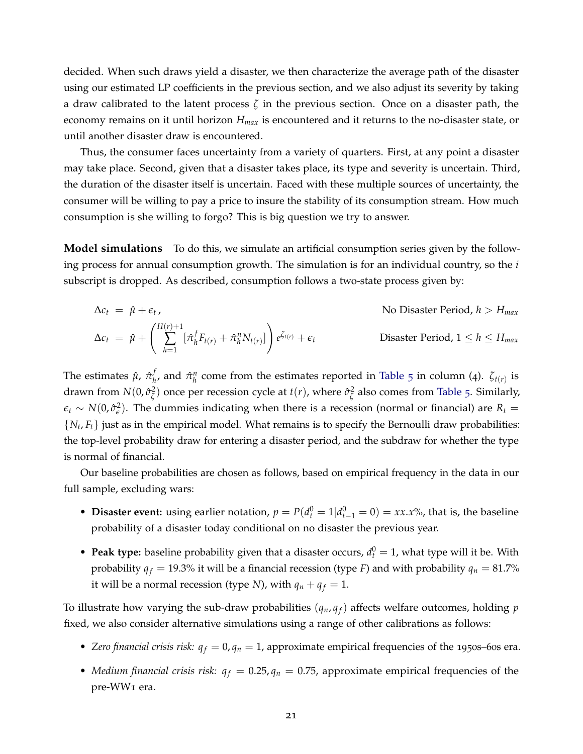decided. When such draws yield a disaster, we then characterize the average path of the disaster using our estimated LP coefficients in the previous section, and we also adjust its severity by taking a draw calibrated to the latent process *ζ* in the previous section. Once on a disaster path, the economy remains on it until horizon *Hmax* is encountered and it returns to the no-disaster state, or until another disaster draw is encountered.

Thus, the consumer faces uncertainty from a variety of quarters. First, at any point a disaster may take place. Second, given that a disaster takes place, its type and severity is uncertain. Third, the duration of the disaster itself is uncertain. Faced with these multiple sources of uncertainty, the consumer will be willing to pay a price to insure the stability of its consumption stream. How much consumption is she willing to forgo? This is big question we try to answer.

**Model simulations** To do this, we simulate an artificial consumption series given by the following process for annual consumption growth. The simulation is for an individual country, so the *i* subscript is dropped. As described, consumption follows a two-state process given by:

$$
\Delta c_t = \hat{\mu} + \epsilon_t,
$$
\nNo Disaster Period,  $h > H_{max}$ 

\n
$$
\Delta c_t = \hat{\mu} + \left(\sum_{h=1}^{H(r)+1} [\hat{\pi}_h^f F_{t(r)} + \hat{\pi}_h^n N_{t(r)}]\right) e^{\zeta_{t(r)}} + \epsilon_t
$$
\nDisaster Period,  $1 \leq h \leq H_{max}$ 

The estimates  $\hat{\mu}$ ,  $\hat{\pi}^f_h$  $\hat{\pi}$ <sup>*h*</sup>, and  $\hat{\pi}$ <sup>*n*</sup></sup> come from the estimates reported in [Table](#page-20-0) 5 in column (4). *ζt*(*r*) is drawn from *N*(0,  $\hat{\sigma}^2_{\zeta}$  $\frac{2}{\zeta}$ ) once per recession cycle at *t*(*r*), where  $\hat{\sigma}^2_{\zeta}$  $\frac{2}{\zeta}$  also comes from [Table](#page-20-0) 5. Similarly,  $\epsilon_t \sim N(0, \hat{\sigma}_{\epsilon}^2)$ . The dummies indicating when there is a recession (normal or financial) are  $R_t =$  $\{N_t, F_t\}$  just as in the empirical model. What remains is to specify the Bernoulli draw probabilities: the top-level probability draw for entering a disaster period, and the subdraw for whether the type is normal of financial.

Our baseline probabilities are chosen as follows, based on empirical frequency in the data in our full sample, excluding wars:

- **Disaster event:** using earlier notation,  $p = P(d_t^0 = 1 | d_{t-1}^0 = 0) = xx.x\%$ , that is, the baseline probability of a disaster today conditional on no disaster the previous year.
- **Peak type:** baseline probability given that a disaster occurs,  $d_t^0 = 1$ , what type will it be. With probability  $q_f = 19.3\%$  it will be a financial recession (type *F*) and with probability  $q_n = 81.7\%$ it will be a normal recession (type *N*), with  $q_n + q_f = 1$ .

To illustrate how varying the sub-draw probabilities  $(q_n, q_f)$  affects welfare outcomes, holding  $p$ fixed, we also consider alternative simulations using a range of other calibrations as follows:

- *Zero financial crisis risk:*  $q_f = 0$ ,  $q_n = 1$ , approximate empirical frequencies of the 1950s–60s era.
- *Medium financial crisis risk:*  $q_f = 0.25, q_n = 0.75$ , approximate empirical frequencies of the pre-WW1 era.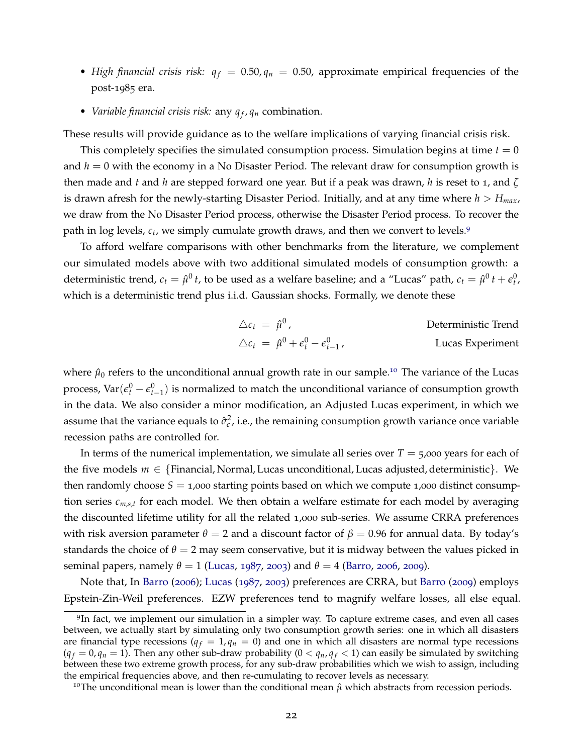- *High financial crisis risk:*  $q_f = 0.50, q_n = 0.50$ , approximate empirical frequencies of the post-1985 era.
- *Variable financial crisis risk:* any  $q_f$ ,  $q_n$  combination.

These results will provide guidance as to the welfare implications of varying financial crisis risk.

This completely specifies the simulated consumption process. Simulation begins at time  $t = 0$ and *h* = 0 with the economy in a No Disaster Period. The relevant draw for consumption growth is then made and *t* and *h* are stepped forward one year. But if a peak was drawn, *h* is reset to 1, and *ζ* is drawn afresh for the newly-starting Disaster Period. Initially, and at any time where  $h > H_{max}$ , we draw from the No Disaster Period process, otherwise the Disaster Period process. To recover the path in log levels,  $c_t$ , we simply cumulate growth draws, and then we convert to levels.<sup>[9](#page-23-0)</sup>

To afford welfare comparisons with other benchmarks from the literature, we complement our simulated models above with two additional simulated models of consumption growth: a deterministic trend,  $c_t = \hat{\mu}^0 t$ , to be used as a welfare baseline; and a "Lucas" path,  $c_t = \hat{\mu}^0 t + \epsilon_t^0$ , which is a deterministic trend plus i.i.d. Gaussian shocks. Formally, we denote these

$$
\Delta c_t = \hat{\mu}^0,
$$
 Deterministic Trend  

$$
\Delta c_t = \hat{\mu}^0 + \epsilon_t^0 - \epsilon_{t-1}^0,
$$
 Lucas Experiment

where  $\hat{\mu}_0$  refers to the unconditional annual growth rate in our sample.<sup>[10](#page-23-1)</sup> The variance of the Lucas process,  $\text{Var}(\epsilon_t^0 - \epsilon_{t-1}^0)$  is normalized to match the unconditional variance of consumption growth in the data. We also consider a minor modification, an Adjusted Lucas experiment, in which we assume that the variance equals to  $\hat{\sigma}_{\epsilon}^2$ , i.e., the remaining consumption growth variance once variable recession paths are controlled for.

In terms of the numerical implementation, we simulate all series over  $T = 5,000$  years for each of the five models  $m \in \{F$ inancial, Normal, Lucas unconditional, Lucas adjusted, deterministic $\}$ . We then randomly choose  $S = 1,000$  starting points based on which we compute 1,000 distinct consumption series *cm*,*s*,*<sup>t</sup>* for each model. We then obtain a welfare estimate for each model by averaging the discounted lifetime utility for all the related 1,000 sub-series. We assume CRRA preferences with risk aversion parameter  $\theta = 2$  and a discount factor of  $\beta = 0.96$  for annual data. By today's standards the choice of  $\theta = 2$  may seem conservative, but it is midway between the values picked in seminal papers, namely  $θ = 1$  [\(Lucas,](#page-30-0) [1987](#page-30-0), [2003](#page-30-1)) and  $θ = 4$  [\(Barro,](#page-28-0) [2006](#page-28-0), [2009](#page-28-1)).

Note that, In [Barro](#page-28-0) ([2006](#page-28-0)); [Lucas](#page-30-0) ([1987](#page-30-0), [2003](#page-30-1)) preferences are CRRA, but [Barro](#page-28-1) ([2009](#page-28-1)) employs Epstein-Zin-Weil preferences. EZW preferences tend to magnify welfare losses, all else equal.

<span id="page-23-0"></span><sup>&</sup>lt;sup>9</sup>In fact, we implement our simulation in a simpler way. To capture extreme cases, and even all cases between, we actually start by simulating only two consumption growth series: one in which all disasters are financial type recessions ( $q_f = 1, q_n = 0$ ) and one in which all disasters are normal type recessions  $(q_f = 0, q_n = 1)$ . Then any other sub-draw probability  $(0 < q_n, q_f < 1)$  can easily be simulated by switching between these two extreme growth process, for any sub-draw probabilities which we wish to assign, including the empirical frequencies above, and then re-cumulating to recover levels as necessary.

<span id="page-23-1"></span><sup>&</sup>lt;sup>10</sup>The unconditional mean is lower than the conditional mean  $\hat{\mu}$  which abstracts from recession periods.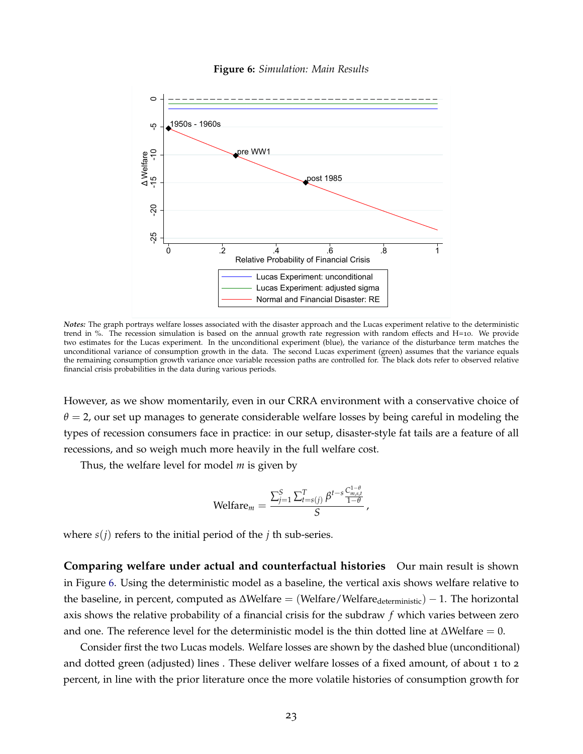<span id="page-24-0"></span>

**Figure 6:** *Simulation: Main Results*

*Notes:* The graph portrays welfare losses associated with the disaster approach and the Lucas experiment relative to the deterministic trend in %. The recession simulation is based on the annual growth rate regression with random effects and H=10. We provide two estimates for the Lucas experiment. In the unconditional experiment (blue), the variance of the disturbance term matches the unconditional variance of consumption growth in the data. The second Lucas experiment (green) assumes that the variance equals the remaining consumption growth variance once variable recession paths are controlled for. The black dots refer to observed relative financial crisis probabilities in the data during various periods.

However, as we show momentarily, even in our CRRA environment with a conservative choice of  $\theta = 2$ , our set up manages to generate considerable welfare losses by being careful in modeling the types of recession consumers face in practice: in our setup, disaster-style fat tails are a feature of all recessions, and so weigh much more heavily in the full welfare cost.

Thus, the welfare level for model *m* is given by

$$
\text{Weltare}_m = \frac{\sum_{j=1}^S \sum_{t=s(j)}^T \beta^{t-s} \frac{C_{m,s,t}^{1-\theta}}{1-\theta}}{S},
$$

where  $s(i)$  refers to the initial period of the *j* th sub-series.

**Comparing welfare under actual and counterfactual histories** Our main result is shown in Figure [6](#page-24-0). Using the deterministic model as a baseline, the vertical axis shows welfare relative to the baseline, in percent, computed as  $\Delta$ Welfare = (Welfare/Welfare<sub>deterministic</sub>) – 1. The horizontal axis shows the relative probability of a financial crisis for the subdraw *f* which varies between zero and one. The reference level for the deterministic model is the thin dotted line at ∆Welfare = 0.

Consider first the two Lucas models. Welfare losses are shown by the dashed blue (unconditional) and dotted green (adjusted) lines . These deliver welfare losses of a fixed amount, of about 1 to 2 percent, in line with the prior literature once the more volatile histories of consumption growth for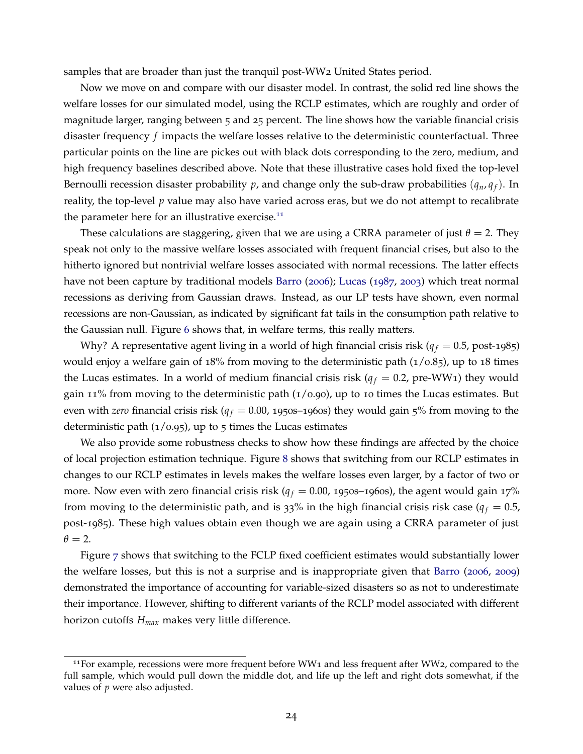samples that are broader than just the tranquil post-WW2 United States period.

Now we move on and compare with our disaster model. In contrast, the solid red line shows the welfare losses for our simulated model, using the RCLP estimates, which are roughly and order of magnitude larger, ranging between 5 and 25 percent. The line shows how the variable financial crisis disaster frequency *f* impacts the welfare losses relative to the deterministic counterfactual. Three particular points on the line are pickes out with black dots corresponding to the zero, medium, and high frequency baselines described above. Note that these illustrative cases hold fixed the top-level Bernoulli recession disaster probability *p*, and change only the sub-draw probabilities  $(q_n, q_f)$ . In reality, the top-level *p* value may also have varied across eras, but we do not attempt to recalibrate the parameter here for an illustrative exercise. $11$ 

These calculations are staggering, given that we are using a CRRA parameter of just  $\theta = 2$ . They speak not only to the massive welfare losses associated with frequent financial crises, but also to the hitherto ignored but nontrivial welfare losses associated with normal recessions. The latter effects have not been capture by traditional models [Barro](#page-28-0) ([2006](#page-28-0)); [Lucas](#page-30-0) ([1987](#page-30-0), [2003](#page-30-1)) which treat normal recessions as deriving from Gaussian draws. Instead, as our LP tests have shown, even normal recessions are non-Gaussian, as indicated by significant fat tails in the consumption path relative to the Gaussian null. Figure [6](#page-24-0) shows that, in welfare terms, this really matters.

Why? A representative agent living in a world of high financial crisis risk ( $q_f = 0.5$ , post-1985) would enjoy a welfare gain of  $18\%$  from moving to the deterministic path  $(1/0.85)$ , up to 18 times the Lucas estimates. In a world of medium financial crisis risk  $(q_f = 0.2, \text{pre-WW1})$  they would gain 11% from moving to the deterministic path  $(1/0.90)$ , up to 10 times the Lucas estimates. But even with *zero* financial crisis risk ( $q_f = 0.00$ , 1950s–1960s) they would gain 5% from moving to the deterministic path  $(1/0.95)$ , up to 5 times the Lucas estimates

We also provide some robustness checks to show how these findings are affected by the choice of local projection estimation technique. Figure [8](#page-26-0) shows that switching from our RCLP estimates in changes to our RCLP estimates in levels makes the welfare losses even larger, by a factor of two or more. Now even with zero financial crisis risk ( $q_f = 0.00$ , 1950s–1960s), the agent would gain 17% from moving to the deterministic path, and is  $33\%$  in the high financial crisis risk case ( $q_f = 0.5$ , post-1985). These high values obtain even though we are again using a CRRA parameter of just  $\theta = 2$ .

Figure [7](#page-26-1) shows that switching to the FCLP fixed coefficient estimates would substantially lower the welfare losses, but this is not a surprise and is inappropriate given that [Barro](#page-28-0) ([2006](#page-28-0), [2009](#page-28-1)) demonstrated the importance of accounting for variable-sized disasters so as not to underestimate their importance. However, shifting to different variants of the RCLP model associated with different horizon cutoffs *Hmax* makes very little difference.

<span id="page-25-0"></span><sup>&</sup>lt;sup>11</sup>For example, recessions were more frequent before WW1 and less frequent after WW2, compared to the full sample, which would pull down the middle dot, and life up the left and right dots somewhat, if the values of *p* were also adjusted.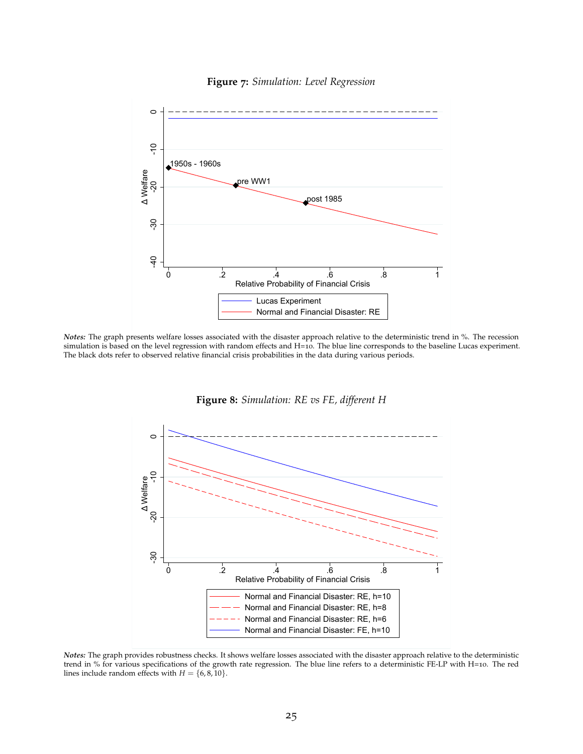<span id="page-26-1"></span>

#### **Figure 7:** *Simulation: Level Regression*

<span id="page-26-0"></span>*Notes:* The graph presents welfare losses associated with the disaster approach relative to the deterministic trend in %. The recession simulation is based on the level regression with random effects and H=10. The blue line corresponds to the baseline Lucas experiment. The black dots refer to observed relative financial crisis probabilities in the data during various periods.



**Figure 8:** *Simulation: RE vs FE, different H*

*Notes:* The graph provides robustness checks. It shows welfare losses associated with the disaster approach relative to the deterministic trend in % for various specifications of the growth rate regression. The blue line refers to a deterministic FE-LP with H=10. The red lines include random effects with  $H = \{6, 8, 10\}.$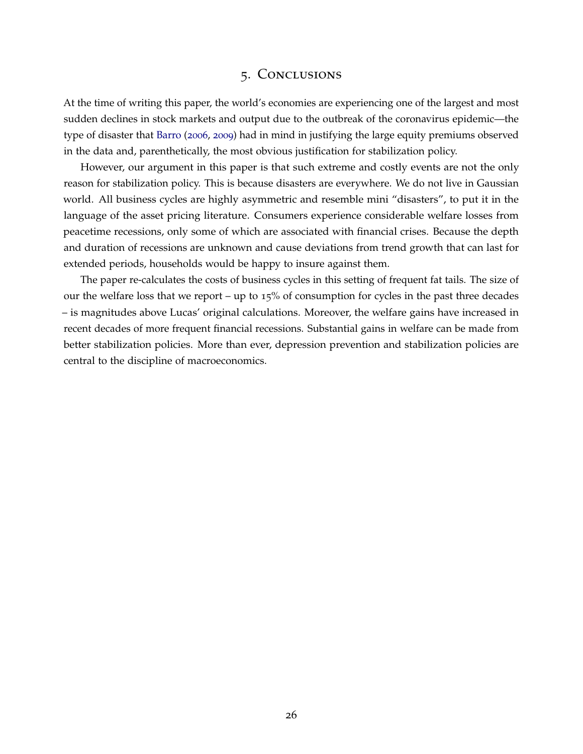## 5. Conclusions

At the time of writing this paper, the world's economies are experiencing one of the largest and most sudden declines in stock markets and output due to the outbreak of the coronavirus epidemic—the type of disaster that [Barro](#page-28-0) ([2006](#page-28-0), [2009](#page-28-1)) had in mind in justifying the large equity premiums observed in the data and, parenthetically, the most obvious justification for stabilization policy.

However, our argument in this paper is that such extreme and costly events are not the only reason for stabilization policy. This is because disasters are everywhere. We do not live in Gaussian world. All business cycles are highly asymmetric and resemble mini "disasters", to put it in the language of the asset pricing literature. Consumers experience considerable welfare losses from peacetime recessions, only some of which are associated with financial crises. Because the depth and duration of recessions are unknown and cause deviations from trend growth that can last for extended periods, households would be happy to insure against them.

The paper re-calculates the costs of business cycles in this setting of frequent fat tails. The size of our the welfare loss that we report – up to 15% of consumption for cycles in the past three decades – is magnitudes above Lucas' original calculations. Moreover, the welfare gains have increased in recent decades of more frequent financial recessions. Substantial gains in welfare can be made from better stabilization policies. More than ever, depression prevention and stabilization policies are central to the discipline of macroeconomics.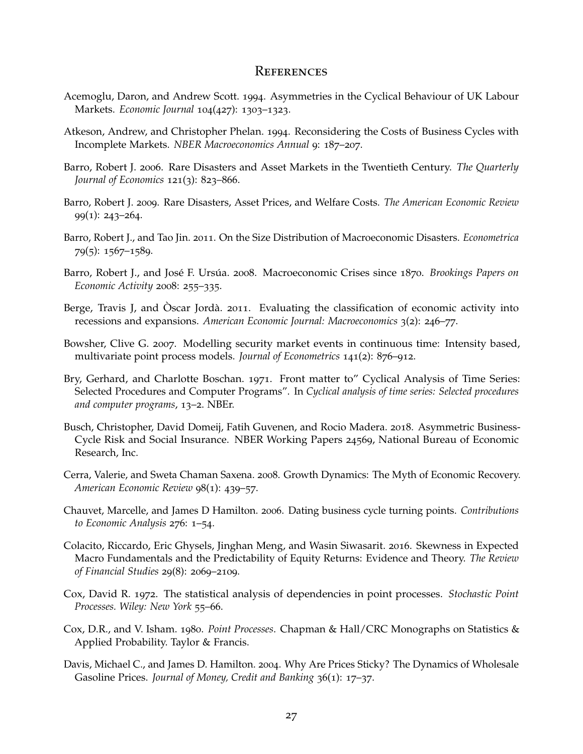## **REFERENCES**

- <span id="page-28-6"></span>Acemoglu, Daron, and Andrew Scott. 1994. Asymmetries in the Cyclical Behaviour of UK Labour Markets. *Economic Journal* 104(427): 1303–1323.
- <span id="page-28-3"></span>Atkeson, Andrew, and Christopher Phelan. 1994. Reconsidering the Costs of Business Cycles with Incomplete Markets. *NBER Macroeconomics Annual* 9: 187–207.
- <span id="page-28-0"></span>Barro, Robert J. 2006. Rare Disasters and Asset Markets in the Twentieth Century. *The Quarterly Journal of Economics* 121(3): 823–866.
- <span id="page-28-1"></span>Barro, Robert J. 2009. Rare Disasters, Asset Prices, and Welfare Costs. *The American Economic Review* 99(1): 243–264.
- <span id="page-28-2"></span>Barro, Robert J., and Tao Jin. 2011. On the Size Distribution of Macroeconomic Disasters. *Econometrica* 79(5): 1567–1589.
- <span id="page-28-7"></span>Barro, Robert J., and José F. Ursúa. 2008. Macroeconomic Crises since 1870. *Brookings Papers on Economic Activity* 2008: 255–335.
- <span id="page-28-13"></span>Berge, Travis J, and  $\dot{\rm O}$ scar Jordà. 2011. Evaluating the classification of economic activity into recessions and expansions. *American Economic Journal: Macroeconomics* 3(2): 246–77.
- <span id="page-28-10"></span>Bowsher, Clive G. 2007. Modelling security market events in continuous time: Intensity based, multivariate point process models. *Journal of Econometrics* 141(2): 876–912.
- <span id="page-28-8"></span>Bry, Gerhard, and Charlotte Boschan. 1971. Front matter to" Cyclical Analysis of Time Series: Selected Procedures and Computer Programs". In *Cyclical analysis of time series: Selected procedures and computer programs*, 13–2. NBEr.
- <span id="page-28-5"></span>Busch, Christopher, David Domeij, Fatih Guvenen, and Rocio Madera. 2018. Asymmetric Business-Cycle Risk and Social Insurance. NBER Working Papers 24569, National Bureau of Economic Research, Inc.
- <span id="page-28-15"></span>Cerra, Valerie, and Sweta Chaman Saxena. 2008. Growth Dynamics: The Myth of Economic Recovery. *American Economic Review* 98(1): 439–57.
- <span id="page-28-14"></span>Chauvet, Marcelle, and James D Hamilton. 2006. Dating business cycle turning points. *Contributions to Economic Analysis* 276: 1–54.
- <span id="page-28-4"></span>Colacito, Riccardo, Eric Ghysels, Jinghan Meng, and Wasin Siwasarit. 2016. Skewness in Expected Macro Fundamentals and the Predictability of Equity Returns: Evidence and Theory. *The Review of Financial Studies* 29(8): 2069–2109.
- <span id="page-28-12"></span>Cox, David R. 1972. The statistical analysis of dependencies in point processes. *Stochastic Point Processes. Wiley: New York* 55–66.
- <span id="page-28-9"></span>Cox, D.R., and V. Isham. 1980. *Point Processes*. Chapman & Hall/CRC Monographs on Statistics & Applied Probability. Taylor & Francis.
- <span id="page-28-11"></span>Davis, Michael C., and James D. Hamilton. 2004. Why Are Prices Sticky? The Dynamics of Wholesale Gasoline Prices. *Journal of Money, Credit and Banking* 36(1): 17–37.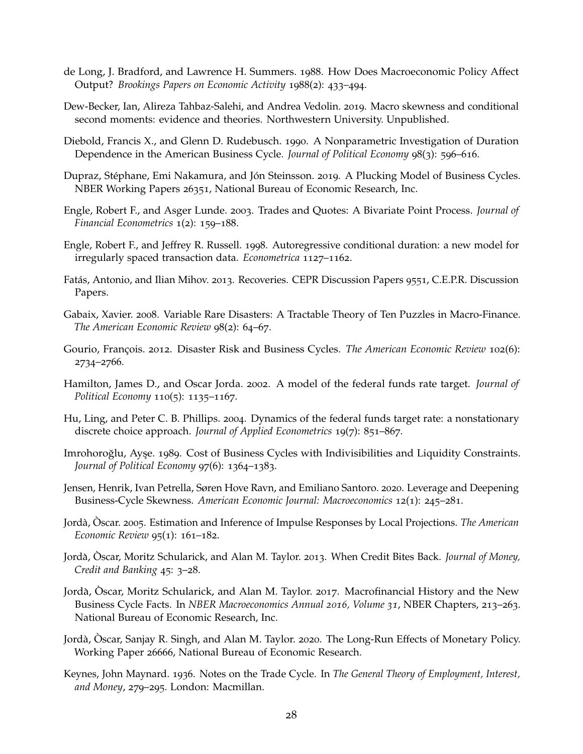- <span id="page-29-5"></span>de Long, J. Bradford, and Lawrence H. Summers. 1988. How Does Macroeconomic Policy Affect Output? *Brookings Papers on Economic Activity* 1988(2): 433–494.
- <span id="page-29-4"></span>Dew-Becker, Ian, Alireza Tahbaz-Salehi, and Andrea Vedolin. 2019. Macro skewness and conditional second moments: evidence and theories. Northwestern University. Unpublished.
- <span id="page-29-17"></span>Diebold, Francis X., and Glenn D. Rudebusch. 1990. A Nonparametric Investigation of Duration Dependence in the American Business Cycle. *Journal of Political Economy* 98(3): 596–616.
- <span id="page-29-6"></span>Dupraz, Stéphane, Emi Nakamura, and Jón Steinsson. 2019. A Plucking Model of Business Cycles. NBER Working Papers 26351, National Bureau of Economic Research, Inc.
- <span id="page-29-15"></span>Engle, Robert F., and Asger Lunde. 2003. Trades and Quotes: A Bivariate Point Process. *Journal of Financial Econometrics* 1(2): 159–188.
- <span id="page-29-16"></span>Engle, Robert F., and Jeffrey R. Russell. 1998. Autoregressive conditional duration: a new model for irregularly spaced transaction data. *Econometrica* 1127–1162.
- <span id="page-29-7"></span>Fatás, Antonio, and Ilian Mihov. 2013. Recoveries. CEPR Discussion Papers 9551, C.E.P.R. Discussion Papers.
- <span id="page-29-0"></span>Gabaix, Xavier. 2008. Variable Rare Disasters: A Tractable Theory of Ten Puzzles in Macro-Finance. *The American Economic Review* 98(2): 64–67.
- <span id="page-29-1"></span>Gourio, François. 2012. Disaster Risk and Business Cycles. *The American Economic Review* 102(6): 2734–2766.
- <span id="page-29-13"></span>Hamilton, James D., and Oscar Jorda. 2002. A model of the federal funds rate target. *Journal of Political Economy* 110(5): 1135–1167.
- <span id="page-29-14"></span>Hu, Ling, and Peter C. B. Phillips. 2004. Dynamics of the federal funds target rate: a nonstationary discrete choice approach. *Journal of Applied Econometrics* 19(7): 851–867.
- <span id="page-29-2"></span>Imrohoroğlu, Ayşe. 1989. Cost of Business Cycles with Indivisibilities and Liquidity Constraints. *Journal of Political Economy* 97(6): 1364–1383.
- <span id="page-29-8"></span>Jensen, Henrik, Ivan Petrella, Søren Hove Ravn, and Emiliano Santoro. 2020. Leverage and Deepening Business-Cycle Skewness. *American Economic Journal: Macroeconomics* 12(1): 245–281.
- <span id="page-29-9"></span>Jorda,` Oscar. ` 2005. Estimation and Inference of Impulse Responses by Local Projections. *The American Economic Review* 95(1): 161–182.
- <span id="page-29-11"></span>Jordà, Oscar, Moritz Schularick, and Alan M. Taylor. 2013. When Credit Bites Back. *Journal of Money*, *Credit and Banking* 45: 3–28.
- <span id="page-29-3"></span>Jordà, Òscar, Moritz Schularick, and Alan M. Taylor. 2017. Macrofinancial History and the New Business Cycle Facts. In *NBER Macroeconomics Annual 2016, Volume 31*, NBER Chapters, 213–263. National Bureau of Economic Research, Inc.
- <span id="page-29-10"></span>Jordà, Òscar, Sanjay R. Singh, and Alan M. Taylor. 2020. The Long-Run Effects of Monetary Policy. Working Paper 26666, National Bureau of Economic Research.
- <span id="page-29-12"></span>Keynes, John Maynard. 1936. Notes on the Trade Cycle. In *The General Theory of Employment, Interest, and Money*, 279–295. London: Macmillan.